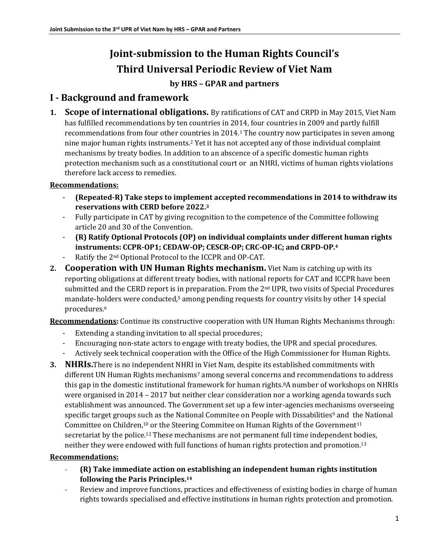# **Joint-submission to the Human Rights Council's Third Universal Periodic Review of Viet Nam**

### **by HRS – GPAR and partners**

# **I - Background and framework**

**1. Scope of international obligations.** By ratifications of CAT and CRPD in May 2015, Viet Nam has fulfilled recommendations by ten countries in 2014, four countries in 2009 and partly fulfill recommendations from four other countries in 2014. <sup>1</sup> The country now participates in seven among nine major human rights instruments.<sup>2</sup> Yet it has not accepted any of those individual complaint mechanisms by treaty bodies. In addition to an abscence of a specific domestic human rights protection mechanism such as a constitutional court or an NHRI, victims of human rights violations therefore lack access to remedies.

### **Recommendations:**

- **(Repeated-R) Take steps to implement accepted recommendations in 2014 to withdraw its reservations with CERD before 2022. 3**
- Fully participate in CAT by giving recognition to the competence of the Committee following article 20 and 30 of the Convention.
- **(R) Ratify Optional Protocols (OP) on individual complaints under different human rights instruments: CCPR-OP1; CEDAW-OP; CESCR-OP; CRC-OP-IC; and CRPD-OP.<sup>4</sup>**
- Ratify the 2<sup>nd</sup> Optional Protocol to the ICCPR and OP-CAT.
- **2. Cooperation with UN Human Rights mechanism.** Viet Nam is catching up with its reporting obligations at different treaty bodies, with national reports for CAT and ICCPR have been submitted and the CERD report is in preparation. From the 2<sup>nd</sup> UPR, two visits of Special Procedures mandate-holders were conducted,<sup>5</sup> among pending requests for country visits by other 14 special procedures.<sup>6</sup>

**Recommendations:** Continue its constructive cooperation with UN Human Rights Mechanisms through:

- Extending a standing invitation to all special procedures;
- Encouraging non-state actors to engage with treaty bodies, the UPR and special procedures.
- Actively seek technical cooperation with the Office of the High Commissioner for Human Rights.
- **3. NHRIs.**There is no independent NHRI in Viet Nam, despite its established commitments with different UN Human Rights mechanisms<sup>7</sup> among several concerns and recommendations to address this gap in the domestic institutional framework for human rights. <sup>8</sup>A number of workshops on NHRIs were organised in 2014 – 2017 but neither clear consideration nor a working agenda towards such establishment was announced. The Government set up a few inter-agencies mechanisms overseeing specific target groups such as the National Commitee on People with Dissabilities<sup>9</sup> and the National Committee on Children,<sup>10</sup> or the Steering Commitee on Human Rights of the Government<sup>11</sup> secretariat by the police.<sup>12</sup> These mechanisms are not permanent full time independent bodies, neither they were endowed with full functions of human rights protection and promotion.<sup>13</sup>

### **Recommendations:**

- **(R) Take immediate action on establishing an independent human rights institution following the Paris Principles. 14**
- Review and improve functions, practices and effectiveness of existing bodies in charge of human rights towards specialised and effective institutions in human rights protection and promotion.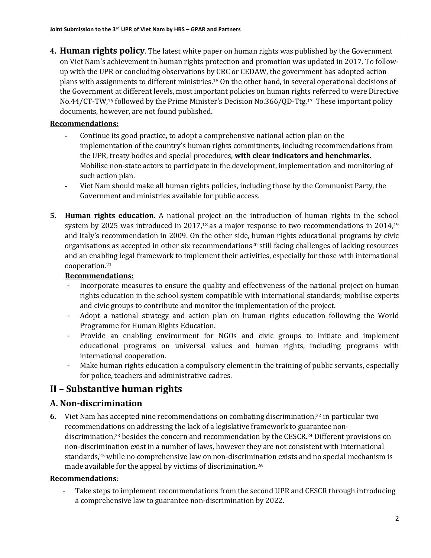**4. Human rights policy**. The latest white paper on human rights was published by the Government on Viet Nam's achievement in human rights protection and promotion was updated in 2017. To followup with the UPR or concluding observations by CRC or CEDAW, the government has adopted action plans with assignments to different ministries.<sup>15</sup> On the other hand, in several operational decisions of the Government at different levels, most important policies on human rights referred to were Directive No.44/CT-TW,<sup>16</sup> followed by the Prime Minister's Decision No.366/QD-Ttg.<sup>17</sup> These important policy documents, however, are not found published.

### **Recommendations:**

- Continue its good practice, to adopt a comprehensive national action plan on the implementation of the country's human rights commitments, including recommendations from the UPR, treaty bodies and special procedures, **with clear indicators and benchmarks.**  Mobilise non-state actors to participate in the development, implementation and monitoring of such action plan.
- Viet Nam should make all human rights policies, including those by the Communist Party, the Government and ministries available for public access.
- **5. Human rights education.** A national project on the introduction of human rights in the school system by 2025 was introduced in 2017,<sup>18</sup> as a major response to two recommendations in 2014,<sup>19</sup> and Italy's recommendation in 2009. On the other side, human rights educational programs by civic organisations as accepted in other six recommendations<sup>20</sup> still facing challenges of lacking resources and an enabling legal framework to implement their activities, especially for those with international cooperation.<sup>21</sup>

### **Recommendations:**

- Incorporate measures to ensure the quality and effectiveness of the national project on human rights education in the school system compatible with international standards; mobilise experts and civic groups to contribute and monitor the implementation of the project.
- Adopt a national strategy and action plan on human rights education following the World Programme for Human Rights Education.
- Provide an enabling environment for NGOs and civic groups to initiate and implement educational programs on universal values and human rights, including programs with international cooperation.
- Make human rights education a compulsory element in the training of public servants, especially for police, teachers and administrative cadres.

# **II – Substantive human rights**

# **A. Non-discrimination**

**6.** Viet Nam has accepted nine recommendations on combating discrimination,<sup>22</sup> in particular two recommendations on addressing the lack of a legislative framework to guarantee nondiscrimination,<sup>23</sup> besides the concern and recommendation by the CESCR.<sup>24</sup> Different provisions on non-discrimination exist in a number of laws, however they are not consistent with international standards,<sup>25</sup> while no comprehensive law on non-discrimination exists and no special mechanism is made available for the appeal by victims of discrimination.<sup>26</sup>

### **Recommendations**:

Take steps to implement recommendations from the second UPR and CESCR through introducing a comprehensive law to guarantee non-discrimination by 2022.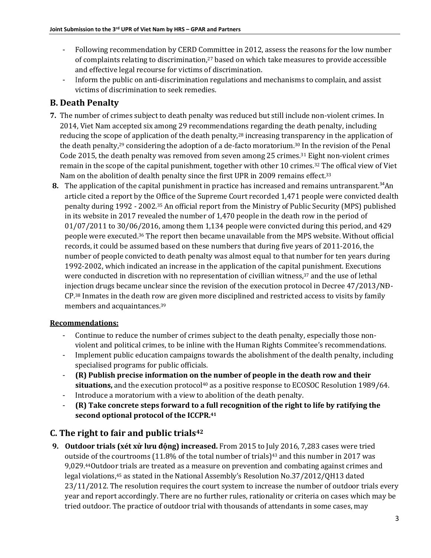- Following recommendation by CERD Committee in 2012, assess the reasons for the low number of complaints relating to discrimination, <sup>27</sup> based on which take measures to provide accessible and effective legal recourse for victims of discrimination.
- Inform the public on anti-discrimination regulations and mechanisms to complain, and assist victims of discrimination to seek remedies.

# **B. Death Penalty**

- **7.** The number of crimes subject to death penalty was reduced but still include non-violent crimes. In 2014, Viet Nam accepted six among 29 recommendations regarding the death penalty, including reducing the scope of application of the death penalty,<sup>28</sup> increasing transparency in the application of the death penalty,<sup>29</sup> considering the adoption of a de-facto moratorium.<sup>30</sup> In the revision of the Penal Code 2015, the death penalty was removed from seven among 25 crimes.<sup>31</sup> Eight non-violent crimes remain in the scope of the capital punishment, together with other 10 crimes.<sup>32</sup> The offical view of Viet Nam on the abolition of dealth penalty since the first UPR in 2009 remains effect.<sup>33</sup>
- **8.** The application of the capital punishment in practice has increased and remains untransparent.<sup>34</sup>An article cited a report by the Office of the Supreme Court recorded 1,471 people were convicted dealth penalty during 1992 - 2002.<sup>35</sup> An official report from the Ministry of Public Security (MPS) published in its website in 2017 revealed the number of 1,470 people in the death row in the period of 01/07/2011 to 30/06/2016, among them 1,134 people were convicted during this period, and 429 people were executed.<sup>36</sup> The report then became unavailable from the MPS website. Without official records, it could be assumed based on these numbers that during five years of 2011-2016, the number of people convicted to death penalty was almost equal to that number for ten years during 1992-2002, which indicated an increase in the application of the capital punishment. Executions were conducted in discretion with no representation of civillian witness,<sup>37</sup> and the use of lethal injection drugs became unclear since the revision of the execution protocol in Decree 47/2013/NĐ-CP.<sup>38</sup> Inmates in the death row are given more disciplined and restricted access to visits by family members and acquaintances.<sup>39</sup>

### **Recommendations:**

- Continue to reduce the number of crimes subject to the death penalty, especially those nonviolent and political crimes, to be inline with the Human Rights Commitee's recommendations.
- Implement public education campaigns towards the abolishment of the dealth penalty, including specialised programs for public officials.
- **(R) Publish precise information on the number of people in the death row and their**  situations, and the execution protocol<sup>40</sup> as a positive response to ECOSOC Resolution 1989/64.
- Introduce a moratorium with a view to abolition of the death penalty.
- **(R) Take concrete steps forward to a full recognition of the right to life by ratifying the second optional protocol of the ICCPR.<sup>41</sup>**

# **C. The right to fair and public trials<sup>42</sup>**

**9. Outdoor trials (xét xử lưu động) increased.** From 2015 to July 2016, 7,283 cases were tried outside of the courtrooms  $(11.8\%$  of the total number of trials)<sup>43</sup> and this number in 2017 was 9,029.44Outdoor trials are treated as a measure on prevention and combating against crimes and legal violations,<sup>45</sup> as stated in the National Assembly's Resolution No.37/2012/QH13 dated 23/11/2012. The resolution requires the court system to increase the number of outdoor trials every year and report accordingly. There are no further rules, rationality or criteria on cases which may be tried outdoor. The practice of outdoor trial with thousands of attendants in some cases, may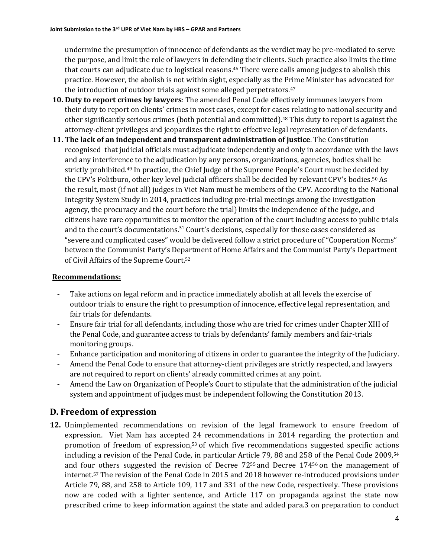undermine the presumption of innocence of defendants as the verdict may be pre-mediated to serve the purpose, and limit the role of lawyers in defending their clients. Such practice also limits the time that courts can adjudicate due to logistical reasons.<sup>46</sup> There were calls among judges to abolish this practice. However, the abolish is not within sight, especially as the Prime Minister has advocated for the introduction of outdoor trials against some alleged perpetrators.<sup>47</sup>

- **10. Duty to report crimes by lawyers**: The amended Penal Code effectively immunes lawyers from their duty to report on clients' crimes in most cases, except for cases relating to national security and other significantly serious crimes (both potential and committed).<sup>48</sup> This duty to report is against the attorney-client privileges and jeopardizes the right to effective legal representation of defendants.
- **11. The lack of an independent and transparent administration of justice**. The Constitution recognised that judicial officials must adjudicate independently and only in accordance with the laws and any interference to the adjudication by any persons, organizations, agencies, bodies shall be strictly prohibited.<sup>49</sup> In practice, the Chief Judge of the Supreme People's Court must be decided by the CPV's Politburo, other key level judicial officers shall be decided by relevant CPV's bodies.<sup>50</sup> As the result, most (if not all) judges in Viet Nam must be members of the CPV. According to the National Integrity System Study in 2014, practices including pre-trial meetings among the investigation agency, the procuracy and the court before the trial) limits the independence of the judge, and citizens have rare opportunities to monitor the operation of the court including access to public trials and to the court's documentations.<sup>51</sup> Court's decisions, especially for those cases considered as "severe and complicated cases" would be delivered follow a strict procedure of "Cooperation Norms" between the Communist Party's Department of Home Affairs and the Communist Party's Department of Civil Affairs of the Supreme Court.<sup>52</sup>

#### **Recommendations:**

- Take actions on legal reform and in practice immediately abolish at all levels the exercise of outdoor trials to ensure the right to presumption of innocence, effective legal representation, and fair trials for defendants.
- Ensure fair trial for all defendants, including those who are tried for crimes under Chapter XIII of the Penal Code, and guarantee access to trials by defendants' family members and fair-trials monitoring groups.
- Enhance participation and monitoring of citizens in order to guarantee the integrity of the Judiciary.
- Amend the Penal Code to ensure that attorney-client privileges are strictly respected, and lawyers are not required to report on clients' already committed crimes at any point.
- Amend the Law on Organization of People's Court to stipulate that the administration of the judicial system and appointment of judges must be independent following the Constitution 2013.

# **D. Freedom of expression**

**12.** Unimplemented recommendations on revision of the legal framework to ensure freedom of expression. Viet Nam has accepted 24 recommendations in 2014 regarding the protection and promotion of freedom of expression,<sup>53</sup> of which five recommendations suggested specific actions including a revision of the Penal Code, in particular Article 79, 88 and 258 of the Penal Code 2009,<sup>54</sup> and four others suggested the revision of Decree 72<sup>55</sup> and Decree 174<sup>56</sup> on the management of internet.<sup>57</sup> The revision of the Penal Code in 2015 and 2018 however re-introduced provisions under Article 79, 88, and 258 to Article 109, 117 and 331 of the new Code, respectively. These provisions now are coded with a lighter sentence, and Article 117 on propaganda against the state now prescribed crime to keep information against the state and added para.3 on preparation to conduct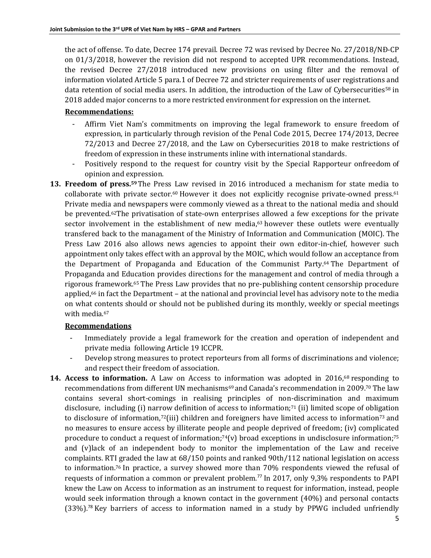the act of offense. To date, Decree 174 prevail. Decree 72 was revised by Decree No. 27/2018/NĐ-CP on 01/3/2018, however the revision did not respond to accepted UPR recommendations. Instead, the revised Decree 27/2018 introduced new provisions on using filter and the removal of information violated Article 5 para.1 of Decree 72 and stricter requirements of user registrations and data retention of social media users. In addition, the introduction of the Law of Cybersecurities<sup>58</sup> in 2018 added major concerns to a more restricted environment for expression on the internet.

#### **Recommendations:**

- Affirm Viet Nam's commitments on improving the legal framework to ensure freedom of expression, in particularly through revision of the Penal Code 2015, Decree 174/2013, Decree 72/2013 and Decree 27/2018, and the Law on Cybersecurities 2018 to make restrictions of freedom of expression in these instruments inline with international standards.
- Positively respond to the request for country visit by the Special Rapporteur onfreedom of opinion and expression.
- **13. Freedom of press.59**The Press Law revised in 2016 introduced a mechanism for state media to collaborate with private sector.<sup>60</sup> However it does not explicitly recognise private-owned press.<sup>61</sup> Private media and newspapers were commonly viewed as a threat to the national media and should be prevented.62The privatisation of state-own enterprises allowed a few exceptions for the private sector involvement in the establishment of new media,<sup>63</sup> however these outlets were eventually transfered back to the managament of the Ministry of Information and Communication (MOIC). The Press Law 2016 also allows news agencies to appoint their own editor-in-chief, however such appointment only takes effect with an approval by the MOIC, which would follow an acceptance from the Department of Propaganda and Education of the Communist Party. <sup>64</sup> The Department of Propaganda and Education provides directions for the management and control of media through a rigorous framework.<sup>65</sup> The Press Law provides that no pre-publishing content censorship procedure applied, $66$  in fact the Department – at the national and provincial level has advisory note to the media on what contents should or should not be published during its monthly, weekly or special meetings with media.<sup>67</sup>

#### **Recommendations**

- Immediately provide a legal framework for the creation and operation of independent and private media following Article 19 ICCPR.
- Develop strong measures to protect reporteurs from all forms of discriminations and violence; and respect their freedom of association.
- **14. Access to information.** A Law on Access to information was adopted in 2016,<sup>68</sup> responding to recommendations from different UN mechanisms<sup>69</sup> and Canada's recommendation in 2009.<sup>70</sup> The law contains several short-comings in realising principles of non-discrimination and maximum disclosure, including (i) narrow definition of access to information;<sup>71</sup> (ii) limited scope of obligation to disclosure of information, $72$ (iii) children and foreigners have limited access to information  $73$  and no measures to ensure access by illiterate people and people deprived of freedom; (iv) complicated procedure to conduct a request of information;<sup>74</sup>(v) broad exceptions in undisclosure information;<sup>75</sup> and (v)lack of an independent body to monitor the implementation of the Law and receive complaints. RTI graded the law at 68/150 points and ranked 90th/112 national legislation on access to information.<sup>76</sup> In practice, a survey showed more than 70% respondents viewed the refusal of requests of information a common or prevalent problem.<sup>77</sup> In 2017, only 9,3% respondents to PAPI knew the Law on Access to information as an instrument to request for information, instead, people would seek information through a known contact in the government (40%) and personal contacts (33%).<sup>78</sup> Key barriers of access to information named in a study by PPWG included unfriendly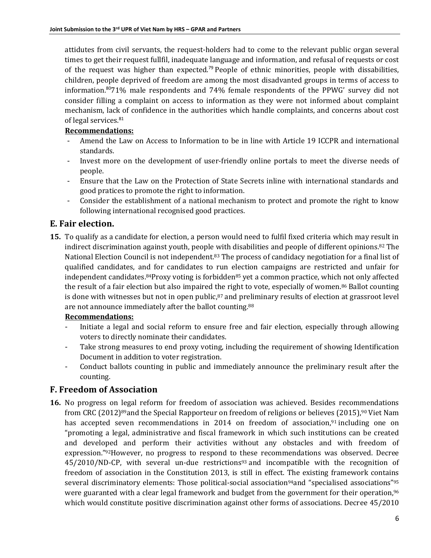attidutes from civil servants, the request-holders had to come to the relevant public organ several times to get their request fullfil, inadequate language and information, and refusal of requests or cost of the request was higher than expected.<sup>79</sup> People of ethnic minorities, people with dissabilities, children, people deprived of freedom are among the most disadvanted groups in terms of access to information.<sup>80</sup>71% male respondents and 74% female respondents of the PPWG' survey did not consider filling a complaint on access to information as they were not informed about complaint mechanism, lack of confidence in the authorities which handle complaints, and concerns about cost of legal services.<sup>81</sup>

### **Recommendations:**

- Amend the Law on Access to Information to be in line with Article 19 ICCPR and international standards.
- Invest more on the development of user-friendly online portals to meet the diverse needs of people.
- Ensure that the Law on the Protection of State Secrets inline with international standards and good pratices to promote the right to information.
- Consider the establishment of a national mechanism to protect and promote the right to know following international recognised good practices.

# **E. Fair election.**

**15.** To qualify as a candidate for election, a person would need to fulfil fixed criteria which may result in indirect discrimination against youth, people with disabilities and people of different opinions.<sup>82</sup> The National Election Council is not independent.<sup>83</sup> The process of candidacy negotiation for a final list of qualified candidates, and for candidates to run election campaigns are restricted and unfair for independent candidates.<sup>84</sup>Proxy voting is forbidden<sup>85</sup> yet a common practice, which not only affected the result of a fair election but also impaired the right to vote, especially of women.<sup>86</sup> Ballot counting is done with witnesses but not in open public,<sup>87</sup> and preliminary results of election at grassroot level are not announce immediately after the ballot counting.<sup>88</sup>

### **Recommendations:**

- Initiate a legal and social reform to ensure free and fair election, especially through allowing voters to directly nominate their candidates.
- Take strong measures to end proxy voting, including the requirement of showing Identification Document in addition to voter registration.
- Conduct ballots counting in public and immediately announce the preliminary result after the counting.

# **F. Freedom of Association**

**16.** No progress on legal reform for freedom of association was achieved. Besides recommendations from CRC (2012)<sup>89</sup>and the Special Rapporteur on freedom of religions or believes (2015),<sup>90</sup> Viet Nam has accepted seven recommendations in 2014 on freedom of association,<sup>91</sup> including one on "promoting a legal, administrative and fiscal framework in which such institutions can be created and developed and perform their activities without any obstacles and with freedom of expression."92However, no progress to respond to these recommendations was observed. Decree 45/2010/ND-CP, with several un-due restrictions<sup>93</sup> and incompatible with the recognition of freedom of association in the Constitution 2013, is still in effect. The existing framework contains several discriminatory elements: Those political-social association<sup>94</sup>and "specialised associations"<sup>95</sup> were guaranted with a clear legal framework and budget from the government for their operation,<sup>96</sup> which would constitute positive discrimination against other forms of associations. Decree 45/2010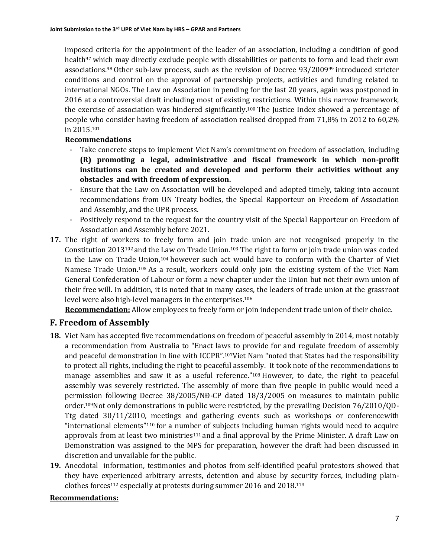imposed criteria for the appointment of the leader of an association, including a condition of good health<sup>97</sup> which may directly exclude people with dissabilities or patients to form and lead their own associations.<sup>98</sup> Other sub-law process, such as the revision of Decree 93/2009<sup>99</sup> introduced stricter conditions and control on the approval of partnership projects, activities and funding related to international NGOs. The Law on Association in pending for the last 20 years, again was postponed in 2016 at a controversial draft including most of existing restrictions. Within this narrow framework, the exercise of association was hindered significantly.<sup>100</sup> The Justice Index showed a percentage of people who consider having freedom of association realised dropped from 71,8% in 2012 to 60,2% in 2015. 101

#### **Recommendations**

- Take concrete steps to implement Viet Nam's commitment on freedom of association, including **(R) promoting a legal, administrative and fiscal framework in which non-profit institutions can be created and developed and perform their activities without any obstacles and with freedom of expression.**
- Ensure that the Law on Association will be developed and adopted timely, taking into account recommendations from UN Treaty bodies, the Special Rapporteur on Freedom of Association and Assembly, and the UPR process.
- Positively respond to the request for the country visit of the Special Rapporteur on Freedom of Association and Assembly before 2021.
- **17.** The right of workers to freely form and join trade union are not recognised properly in the Constitution 2013<sup>102</sup> and the Law on Trade Union.<sup>103</sup> The right to form or join trade union was coded in the Law on Trade Union,<sup>104</sup> however such act would have to conform with the Charter of Viet Namese Trade Union.<sup>105</sup> As a result, workers could only join the existing system of the Viet Nam General Confederation of Labour or form a new chapter under the Union but not their own union of their free will. In addition, it is noted that in many cases, the leaders of trade union at the grassroot level were also high-level managers in the enterprises.<sup>106</sup>

**Recommendation:** Allow employees to freely form or join independent trade union of their choice.

### **F. Freedom of Assembly**

- **18.** Viet Nam has accepted five recommendations on freedom of peaceful assembly in 2014, most notably a recommendation from Australia to "Enact laws to provide for and regulate freedom of assembly and peaceful demonstration in line with ICCPR".107Viet Nam "noted that States had the responsibility to protect all rights, including the right to peaceful assembly. It took note of the recommendations to manage assemblies and saw it as a useful reference."<sup>108</sup> However, to date, the right to peaceful assembly was severely restricted. The assembly of more than five people in public would need a permission following Decree 38/2005/NĐ-CP dated 18/3/2005 on measures to maintain public order.109Not only demonstrations in public were restricted, by the prevailing Decision 76/2010/QD-Ttg dated 30/11/2010, meetings and gathering events such as workshops or conferencewith "international elements"<sup>110</sup> for a number of subjects including human rights would need to acquire approvals from at least two ministries<sup>111</sup> and a final approval by the Prime Minister. A draft Law on Demonstration was assigned to the MPS for preparation, however the draft had been discussed in discretion and unvailable for the public.
- **19.** Anecdotal information, testimonies and photos from self-identified peaful protestors showed that they have experienced arbitrary arrests, detention and abuse by security forces, including plainclothes forces<sup>112</sup> especially at protests during summer 2016 and 2018.<sup>113</sup>

#### **Recommendations:**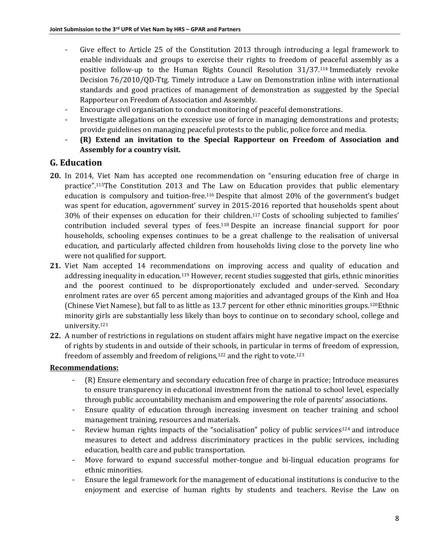- Give effect to Article 25 of the Constitution 2013 through introducing a legal framework to enable individuals and groups to exercise their rights to freedom of peaceful assembly as a positive follow-up to the Human Rights Council Resolution 31/37.<sup>114</sup> Immediately revoke Decision 76/2010/QD-Ttg. Timely introduce a Law on Demonstration inline with international standards and good practices of management of demonstration as suggested by the Special Rapporteur on Freedom of Association and Assembly.
- Encourage civil organisation to conduct monitoring of peaceful demonstrations.
- Investigate allegations on the excessive use of force in managing demonstrations and protests; provide guidelines on managing peaceful protests to the public, police force and media.
- **(R) Extend an invitation to the Special Rapporteur on Freedom of Association and Assembly for a country visit.**

### **G. Education**

- **20.** In 2014, Viet Nam has accepted one recommendation on "ensuring education free of charge in practice".115The Constitution 2013 and The Law on Education provides that public elementary education is compulsory and tuition-free.<sup>116</sup> Despite that almost 20% of the government's budget was spent for education, agovernment' survey in 2015-2016 reported that households spent about 30% of their expenses on education for their children.<sup>117</sup> Costs of schooling subjected to families' contribution included several types of fees.<sup>118</sup> Despite an increase financial support for poor households, schooling expenses continues to be a great challenge to the realisation of universal education, and particularly affected children from households living close to the porvety line who were not qualified for support.
- **21.** Viet Nam accepted 14 recommendations on improving access and quality of education and addressing inequality in education.<sup>119</sup> However, recent studies suggested that girls, ethnic minorities and the poorest continued to be disproportionately excluded and under-served. Secondary enrolment rates are over 65 percent among majorities and advantaged groups of the Kinh and Hoa (Chinese Viet Namese), but fall to as little as 13.7 percent for other ethnic minorities groups.<sup>120</sup>Ethnic minority girls are substantially less likely than boys to continue on to secondary school, college and university.<sup>121</sup>
- **22.** A number of restrictions in regulations on student affairs might have negative impact on the exercise of rights by students in and outside of their schools, in particular in terms of freedom of expression, freedom of assembly and freedom of religions, $122$  and the right to vote. $123$

### **Recommendations:**

- (R) Ensure elementary and secondary education free of charge in practice; Introduce measures to ensure transparency in educational investment from the national to school level, especially through public accountability mechanism and empowering the role of parents' associations.
- Ensure quality of education through increasing invesment on teacher training and school management training, resources and materials.
- Review human rights impacts of the "socialisation" policy of public services<sup>124</sup> and introduce measures to detect and address discriminatory practices in the public services, including education, health care and public transportation.
- Move forward to expand successful mother-tongue and bi-lingual education programs for ethnic minorities.
- Ensure the legal framework for the management of educational institutions is conducive to the enjoyment and exercise of human rights by students and teachers. Revise the Law on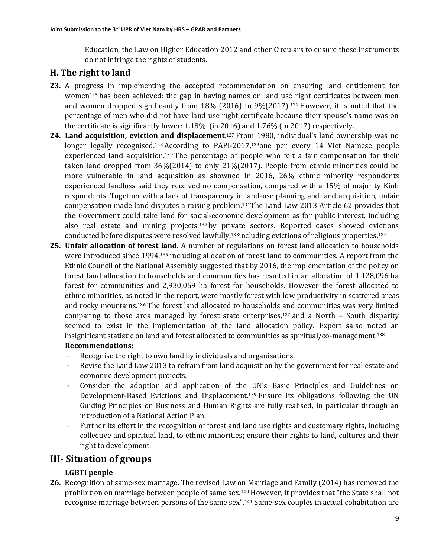Education, the Law on Higher Education 2012 and other Circulars to ensure these instruments do not infringe the rights of students.

### **H. The right to land**

- **23.** A progress in implementing the accepted recommendation on ensuring land entitlement for women<sup>125</sup> has been achieved: the gap in having names on land use right certificates between men and women dropped significantly from  $18\%$  (2016) to 9%(2017).<sup>126</sup> However, it is noted that the percentage of men who did not have land use right certificate because their spouse's name was on the certificate is significantly lower: 1.18% (in 2016) and 1.76% (in 2017) respectively.
- **24. Land acquisition, eviction and displacement**. <sup>127</sup> From 1980, individual's land ownership was no longer legally recognised.<sup>128</sup> According to PAPI-2017,<sup>129</sup>one per every 14 Viet Namese people experienced land acquisition.<sup>130</sup> The percentage of people who felt a fair compensation for their taken land dropped from 36%(2014) to only 21%(2017). People from ethnic minorities could be more vulnerable in land acquisition as showned in 2016, 26% ethnic minority respondents experienced landloss said they received no compensation, compared with a 15% of majority Kinh respondents. Together with a lack of transparency in land-use planning and land acquisition, unfair compensation made land disputes a raising problem.131The Land Law 2013 Article 62 provides that the Government could take land for social-economic development as for public interest, including also real estate and mining projects.<sup>132</sup> by private sectors. Reported cases showed evictions conducted before disputes were resolved lawfully,133including evictions of religious properties.<sup>134</sup>
- **25. Unfair allocation of forest land.** A number of regulations on forest land allocation to households were introduced since 1994,<sup>135</sup> including allocation of forest land to communities. A report from the Ethnic Council of the National Assembly suggested that by 2016, the implementation of the policy on forest land allocation to households and communities has resulted in an allocation of 1,128,096 ha forest for communities and 2,930,059 ha forest for households. However the forest allocated to ethnic minorities, as noted in the report, were mostly forest with low productivity in scattered areas and rocky mountains.<sup>136</sup> The forest land allocated to households and communities was very limited comparing to those area managed by forest state enterprises,  $137$  and a North – South disparity seemed to exist in the implementation of the land allocation policy. Expert salso noted an insignificant statistic on land and forest allocated to communities as spiritual/co-management.<sup>138</sup>

#### **Recommendations:**

- Recognise the right to own land by individuals and organisations.
- Revise the Land Law 2013 to refrain from land acquisition by the government for real estate and economic development projects.
- Consider the adoption and application of the UN's Basic Principles and Guidelines on Development-Based Evictions and Displacement.<sup>139</sup> Ensure its obligations following the UN Guiding Principles on Business and Human Rights are fully realised, in particular through an introduction of a National Action Plan.
- Further its effort in the recognition of forest and land use rights and customary rights, including collective and spiritual land, to ethnic minorities; ensure their rights to land, cultures and their right to development.

# **III- Situation of groups**

### **LGBTI people**

**26.** Recognition of same-sex marriage. The revised Law on Marriage and Family (2014) has removed the prohibition on marriage between people of same sex.<sup>140</sup> However, it provides that "the State shall not recognise marriage between persons of the same sex".<sup>141</sup> Same-sex couples in actual cohabitation are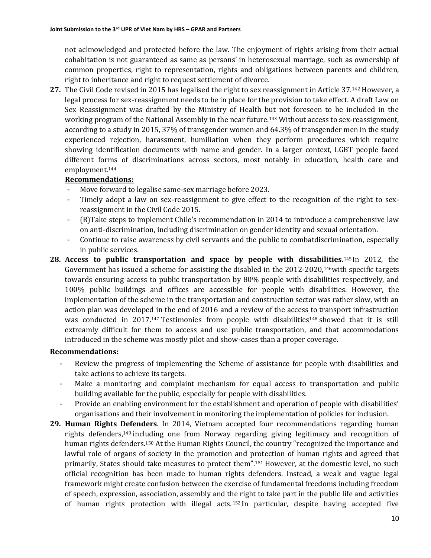not acknowledged and protected before the law. The enjoyment of rights arising from their actual cohabitation is not guaranteed as same as persons' in heterosexual marriage, such as ownership of common properties, right to representation, rights and obligations between parents and children, right to inheritance and right to request settlement of divorce.

**27.** The Civil Code revised in 2015 has legalised the right to sex reassignment in Article 37.<sup>142</sup> However, a legal process for sex-reassignment needs to be in place for the provision to take effect. A draft Law on Sex Reassignment was drafted by the Ministry of Health but not foreseen to be included in the working program of the National Assembly in the near future.<sup>143</sup> Without access to sex-reassignment, according to a study in 2015, 37% of transgender women and 64.3% of transgender men in the study experienced rejection, harassment, humiliation when they perform procedures which require showing identification documents with name and gender. In a larger context, LGBT people faced different forms of discriminations across sectors, most notably in education, health care and employment.<sup>144</sup>

#### **Recommendations:**

- Move forward to legalise same-sex marriage before 2023.
- Timely adopt a law on sex-reassignment to give effect to the recognition of the right to sexreassignment in the Civil Code 2015.
- (R)Take steps to implement Chile's recommendation in 2014 to introduce a comprehensive law on anti-discrimination, including discrimination on gender identity and sexual orientation.
- Continue to raise awareness by civil servants and the public to combatdiscrimination, especially in public services.
- **28. Access to public transportation and space by people with dissabilities**. <sup>145</sup>In 2012, the Government has issued a scheme for assisting the disabled in the 2012-2020,<sup>146</sup>with specific targets towards ensuring access to public transportation by 80% people with disabilities respectively, and 100% public buildings and offices are accessible for people with disabilities. However, the implementation of the scheme in the transportation and construction sector was rather slow, with an action plan was developed in the end of 2016 and a review of the access to transport infrastruction was conducted in 2017.<sup>147</sup> Testimonies from people with disabilities<sup>148</sup> showed that it is still extreamly difficult for them to access and use public transportation, and that accommodations introduced in the scheme was mostly pilot and show-cases than a proper coverage.

#### **Recommendations:**

- Review the progress of implementing the Scheme of assistance for people with disabilities and take actions to achieve its targets.
- Make a monitoring and complaint mechanism for equal access to transportation and public building available for the public, especially for people with disabilities.
- Provide an enabling environment for the establishment and operation of people with disabilities' organisations and their involvement in monitoring the implementation of policies for inclusion.
- **29. Human Rights Defenders**. In 2014, Vietnam accepted four recommendations regarding human rights defenders,<sup>149</sup> including one from Norway regarding giving legitimacy and recognition of human rights defenders.<sup>150</sup> At the Human Rights Council, the country "recognized the importance and lawful role of organs of society in the promotion and protection of human rights and agreed that primarily, States should take measures to protect them".<sup>151</sup> However, at the domestic level, no such official recognition has been made to human rights defenders. Instead, a weak and vague legal framework might create confusion between the exercise of fundamental freedoms including freedom of speech, expression, association, assembly and the right to take part in the public life and activities of human rights protection with illegal acts. <sup>152</sup> In particular, despite having accepted five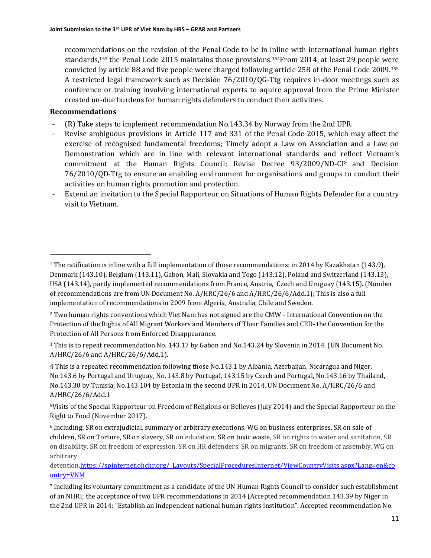recommendations on the revision of the Penal Code to be in inline with international human rights standards,<sup>153</sup> the Penal Code 2015 maintains those provisions. <sup>154</sup>From 2014, at least 29 people were convicted by article 88 and five people were charged following article 258 of the Penal Code 2009.<sup>155</sup> A restricted legal framework such as Decision 76/2010/QG-Ttg requires in-door meetings such as conference or training involving international experts to aquire approval from the Prime Minister created un-due burdens for human rights defenders to conduct their activities.

### **Recommendations**

 $\overline{a}$ 

- (R) Take steps to implement recommendation No.143.34 by Norway from the 2nd UPR.
- Revise ambiguous provisions in Article 117 and 331 of the Penal Code 2015, which may affect the exercise of recognised fundamental freedoms; Timely adopt a Law on Association and a Law on Demonstration which are in line with relevant international standards and reflect Vietnam's commitment at the Human Rights Council; Revise Decree 93/2009/ND-CP and Decision 76/2010/QD-Ttg to ensure an enabling environment for organisations and groups to conduct their activities on human rights promotion and protection.
- Extend an invitation to the Special Rapporteur on Situations of Human Rights Defender for a country visit to Vietnam.

<sup>5</sup>Visits of the Special Rapporteur on Freedom of Religions or Believes (July 2014) and the Special Rapporteur on the Right to Food (November 2017).

detentio[n.https://spinternet.ohchr.org/\\_Layouts/SpecialProceduresInternet/ViewCountryVisits.aspx?Lang=en&co](https://spinternet.ohchr.org/_Layouts/SpecialProceduresInternet/ViewCountryVisits.aspx?Lang=en&country=VNM) [untry=VNM](https://spinternet.ohchr.org/_Layouts/SpecialProceduresInternet/ViewCountryVisits.aspx?Lang=en&country=VNM)

<sup>1</sup> The ratification is inline with a full implementation of those recommendations: in 2014 by Kazakhstan (143.9), Denmark (143.10), Belgium (143.11), Gabon, Mali, Slovakia and Togo (143.12), Poland and Switzerland (143.13), USA (143.14), partly implemented recommendations from France, Austria, Czech and Uruguay (143.15). (Number of recommendations are from UN Document No. A/HRC/26/6 and A/HRC/26/6/Add.1); This is also a full implementation of recommendations in 2009 from Algeria, Australia, Chile and Sweden.

<sup>&</sup>lt;sup>2</sup> Two human rights conventions which Viet Nam has not signed are the CMW - International Convention on the Protection of the Rights of All Migrant Workers and Members of Their Families and CED- the Convention for the Protection of All Persons from Enforced Disappearance.

<sup>3</sup> This is to repeat recommendation No. 143.17 by Gabon and No.143.24 by Slovenia in 2014. (UN Document No. A/HRC/26/6 and A/HRC/26/6/Add.1).

<sup>4</sup> This is a repeated recommendation following those No.143.1 by Albania, Azerbaijan, Nicaragua and Niger, No.143.6 by Portugal and Uruguay, No. 143.8 by Portugal, 143.15 by Czech and Portugal, No.143.16 by Thailand, No.143.30 by Tunisia, No.143.104 by Estonia in the second UPR in 2014. UN Document No. A/HRC/26/6 and A/HRC/26/6/Add.1

<sup>6</sup> Including: SR on extrajudicial, summary or arbitrary executions, WG on business enterprises, SR on sale of children, SR on Torture, SR on slavery, SR on education, SR on toxic waste, SR on rights to water and sanitation, SR on disability, SR on freedom of expression, SR on HR defenders, SR on migrants, SR on freedom of assembly, WG on arbitrary

<sup>7</sup> Including its voluntary commitment as a candidate of the UN Human Rights Council to consider such establishment of an NHRI; the acceptance of two UPR recommendations in 2014 (Accepted recommendation 143.39 by Niger in the 2nd UPR in 2014: "Establish an independent national human rights institution". Accepted recommendation No.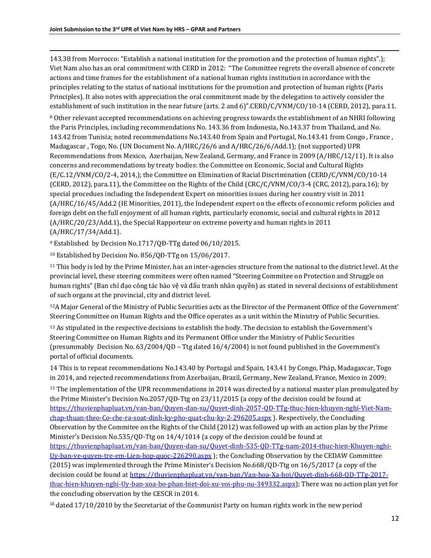$\overline{\phantom{a}}$ 143.38 from Morrocco: "Establish a national institution for the promotion and the protection of human rights".); Viet Nam also has an oral commitment with CERD in 2012: "The Committee regrets the overall absence of concrete actions and time frames for the establishment of a national human rights institution in accordance with the principles relating to the status of national institutions for the promotion and protection of human rights (Paris Principles). It also notes with appreciation the oral commitment made by the delegation to actively consider the establishment of such institution in the near future (arts. 2 and 6)".[CERD/C/VNM/CO/10-14 \(CERD, 2012\),](https://uhri.ohchr.org/document/index/45DB324B-ECDE-4D2A-8855-1B368A9C42F3) para.11.

<sup>8</sup> Other relevant accepted recommendations on achieving progress towards the establishment of an NHRI following the Paris Principles, including recommendations No. 143.36 from Indonesia, No.143.37 from Thailand, and No. 143.42 from Tunisia; noted recommendations No.143.40 from Spain and Portugal, No.143.41 from Congo , France , Madagascar , Togo, No. (UN Document No. A/HRC/26/6 and A/HRC/26/6/Add.1); (not supported) UPR Recommendations from Mexico, Azerbaijan, New Zealand, Germany, and France in 2009 (A/HRC/12/11). It is also concerns and recommendations by treaty bodies: the Committee on Economic, Social and Cultural Rights (E/C.12/VNM/CO/2-4, 2014,); the Committee on Elimination of Racial Discrimination [\(CERD/C/VNM/CO/10-14](https://uhri.ohchr.org/document/index/45DB324B-ECDE-4D2A-8855-1B368A9C42F3)  [\(CERD, 2012\),](https://uhri.ohchr.org/document/index/45DB324B-ECDE-4D2A-8855-1B368A9C42F3) para.11), the Committee on the Rights of the Child [\(CRC/C/VNM/CO/3-4 \(CRC, 2012\),](https://uhri.ohchr.org/document/index/8931C140-A935-416B-846C-5D474C30B47B) para.16); by special procedues including the Independent Expert on minorities issues during her country visit in 2011 [\(A/HRC/16/45/Add.2 \(IE Minorities, 2011\),](https://uhri.ohchr.org/document/index/73E365DB-625D-4D34-BF20-2136747F4538) [the](https://uhri.ohchr.org/document/index/ADA8E2C6-F157-4F46-B9D5-B1947FA49C41) Independent expert on the effects of economic reform policies and foreign debt on the full enjoyment of all human rights, particularly economic, social and cultural rights in 2012 [\(A/HRC/20/23/Add.1\),](https://uhri.ohchr.org/document/index/ADA8E2C6-F157-4F46-B9D5-B1947FA49C41) the Special Rapporteur on extreme poverty and human rights in 2011 (A/HRC/17/34/Add.1).

<sup>9</sup> Established by Decision No.1717/QĐ-TTg dated 06/10/2015.

<sup>10</sup> Established by Decision No. 856/QĐ-TTg on 15/06/2017.

<sup>11</sup> This body is led by the Prime Minister, has an inter-agencies structure from the national to the district level. At the provincial level, these steering commitees were often named "Steering Commitee on Protection and Struggle on human rights" (Ban chỉ đạo công tác bảo vệ và đấu tranh nhân quyền) as stated in several decisions of establishment of such organs at the provincial, city and district level.

<sup>12</sup>A Major General of the Ministry of Public Securities acts as the Director of the Permanent Office of the Government' Steering Committee on Human Rights and the Office operates as a unit within the Ministry of Public Securities.

<sup>13</sup> As stipulated in the respective decisions to establish the body. The decision to establish the Government's Steering Committee on Human Rights and its Permanent Office under the Ministry of Public Securities (presummably Decision No. 63/2004/QD – Ttg dated 16/4/2004) is not found published in the Government's portal of official documents.

14 This is to repeat recommendations No.143.40 by Portugal and Spain, 143.41 by Congo, Pháp, Madagascar, Togo in 2014, and rejected recommendations from Azerbaijan, Brazil, Germany, New Zealand, France, Mexico in 2009;

<sup>15</sup> The implementation of the UPR recommendations in 2014 was directed by a national master plan promulgated by the Prime Minister's Decision No.2057/QD-Ttg on 23/11/2015 (a copy of the decision could be found at [https://thuvienphapluat.vn/van-ban/Quyen-dan-su/Quyet-dinh-2057-QD-TTg-thuc-hien-khuyen-nghi-Viet-Nam](https://thuvienphapluat.vn/van-ban/Quyen-dan-su/Quyet-dinh-2057-QD-TTg-thuc-hien-khuyen-nghi-Viet-Nam-chap-thuan-theo-Co-che-ra-soat-dinh-ky-pho-quat-chu-ky-2-296205.aspx)[chap-thuan-theo-Co-che-ra-soat-dinh-ky-pho-quat-chu-ky-2-296205.aspx](https://thuvienphapluat.vn/van-ban/Quyen-dan-su/Quyet-dinh-2057-QD-TTg-thuc-hien-khuyen-nghi-Viet-Nam-chap-thuan-theo-Co-che-ra-soat-dinh-ky-pho-quat-chu-ky-2-296205.aspx) ). Respectively, the Concluding Observation by the Commitee on the Rights of the Child (2012) was followed up with an action plan by the Prime Minister's Decision No.535/QD-Ttg on 14/4/1014 (a copy of the decision could be found at [https://thuvienphapluat.vn/van-ban/Quyen-dan-su/Quyet-dinh-535-QD-TTg-nam-2014-thuc-hien-Khuyen-nghi-](https://thuvienphapluat.vn/van-ban/Quyen-dan-su/Quyet-dinh-535-QD-TTg-nam-2014-thuc-hien-Khuyen-nghi-Uy-ban-ve-quyen-tre-em-Lien-hop-quoc-226290.aspx)[Uy-ban-ve-quyen-tre-em-Lien-hop-quoc-226290.aspx](https://thuvienphapluat.vn/van-ban/Quyen-dan-su/Quyet-dinh-535-QD-TTg-nam-2014-thuc-hien-Khuyen-nghi-Uy-ban-ve-quyen-tre-em-Lien-hop-quoc-226290.aspx) ); the Concluding Observation by the CEDAW Committee (2015) was implemented through the Prime Minister's Decision No.668/QD-Ttg on 16/5/2017 (a copy of the decision could be found a[t https://thuvienphapluat.vn/van-ban/Van-hoa-Xa-hoi/Quyet-dinh-668-QD-TTg-2017](https://thuvienphapluat.vn/van-ban/Van-hoa-Xa-hoi/Quyet-dinh-668-QD-TTg-2017-thuc-hien-khuyen-nghi-Uy-ban-xoa-bo-phan-biet-doi-xu-voi-phu-nu-349332.aspx) [thuc-hien-khuyen-nghi-Uy-ban-xoa-bo-phan-biet-doi-xu-voi-phu-nu-349332.aspx\)](https://thuvienphapluat.vn/van-ban/Van-hoa-Xa-hoi/Quyet-dinh-668-QD-TTg-2017-thuc-hien-khuyen-nghi-Uy-ban-xoa-bo-phan-biet-doi-xu-voi-phu-nu-349332.aspx); There was no action plan yet for the concluding observation by the CESCR in 2014.

<sup>16</sup> dated 17/10/2010 by the Secretariat of the Communist Party on human rights work in the new period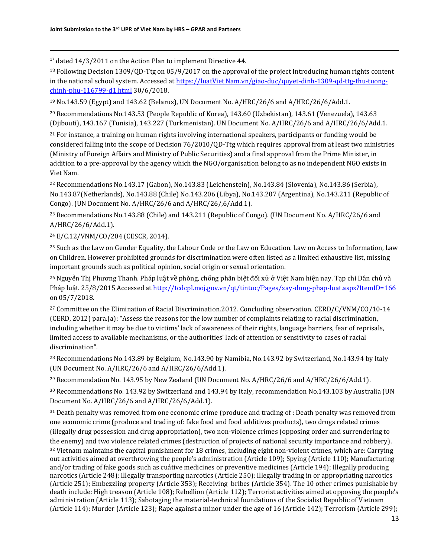<sup>17</sup> dated 14/3/2011 on the Action Plan to implement Directive 44.

<sup>18</sup> Following Decision 1309/QD-Ttg on 05/9/2017 on the approval of the project Introducing human rights content in the national school system. Accessed a[t https://luatViet Nam.vn/giao-duc/quyet-dinh-1309-qd-ttg-thu-tuong](https://luatvietnam.vn/giao-duc/quyet-dinh-1309-qd-ttg-thu-tuong-chinh-phu-116799-d1.html)[chinh-phu-116799-d1.html](https://luatvietnam.vn/giao-duc/quyet-dinh-1309-qd-ttg-thu-tuong-chinh-phu-116799-d1.html) 30/6/2018.

<sup>19</sup> No.143.59 (Egypt) and 143.62 (Belarus), UN Document No. A/HRC/26/6 and A/HRC/26/6/Add.1.

<sup>20</sup> Recommendations No.143.53 (People Republic of Korea), 143.60 (Uzbekistan), 143.61 (Venezuela), 143.63 (Djibouti), 143.167 (Tunisia), 143.227 (Turkmenistan). UN Document No. A/HRC/26/6 and A/HRC/26/6/Add.1.

<sup>21</sup> For instance, a training on human rights involving international speakers, participants or funding would be considered falling into the scope of Decision 76/2010/QD-Ttg which requires approval from at least two ministries (Ministry of Foreign Affairs and Ministry of Public Securities) and a final approval from the Prime Minister, in addition to a pre-approval by the agency which the NGO/organisation belong to as no independent NGO exists in Viet Nam.

<sup>22</sup> Recommendations No.143.17 (Gabon), No.143.83 (Leichenstein), No.143.84 (Slovenia), No.143.86 (Serbia), No.143.87(Netherlands), No.143.88 (Chile) No.143.206 (Libya), No.143.207 (Argentina), No.143.211 (Republic of Congo). (UN Document No. A/HRC/26/6 and A/HRC/26/,6/Add.1).

<sup>23</sup> Recommendations No.143.88 (Chile) and 143.211 (Republic of Congo). (UN Document No. A/HRC/26/6 and A/HRC/26/6/Add.1).

<sup>24</sup> E/C.12/VNM/CO/204 (CESCR, 2014).

 $\overline{\phantom{a}}$ 

<sup>25</sup> Such as the Law on Gender Equality, the Labour Code or the Law on Education. Law on Access to Information, Law on Children. However prohibited grounds for discrimination were often listed as a limited exhaustive list, missing important grounds such as political opinion, social origin or sexual orientation.

<sup>26</sup> Nguyễn Thị Phương Thanh. Pháp luật về phòng, chống phân biệt đối xử ở Việt Nam hiện nay. Tạp chí Dân chủ và Pháp luật. 25/8/2015 Accessed at<http://tcdcpl.moj.gov.vn/qt/tintuc/Pages/xay-dung-phap-luat.aspx?ItemID=166> on 05/7/2018.

<sup>27</sup> Committee on the Elimination of Racial Discrimination. 2012. Concluding observation. CERD/C/VNM/CO/10-14 [\(CERD, 2012\)](https://uhri.ohchr.org/document/index/45DB324B-ECDE-4D2A-8855-1B368A9C42F3) para.(a): "Assess the reasons for the low number of complaints relating to racial discrimination, including whether it may be due to victims' lack of awareness of their rights, language barriers, fear of reprisals, limited access to available mechanisms, or the authorities' lack of attention or sensitivity to cases of racial discrimination".

<sup>28</sup> Recommendations No.143.89 by Belgium, No.143.90 by Namibia, No.143.92 by Switzerland, No.143.94 by Italy (UN Document No. A/HRC/26/6 and A/HRC/26/6/Add.1).

<sup>29</sup> Recommendation No. 143.95 by New Zealand (UN Document No.  $A/HRC/26/6$  and  $A/HRC/26/6/Add.1$ ).

<sup>30</sup> Recommendations No. 143.92 by Switzerland and 143.94 by Italy, recommendation No.143.103 by Australia (UN Document No. A/HRC/26/6 and A/HRC/26/6/Add.1).

<sup>31</sup> Death penalty was removed from one economic crime (produce and trading of : Death penalty was removed from one economic crime (produce and trading of: fake food and food additives products), two drugs related crimes (illegally drug possession and drug appropriation), two non-violence crimes (opposing order and surrendering to the enemy) and two violence related crimes (destruction of projects of national security importance and robbery).  $32$  Vietnam maintains the capital punishment for 18 crimes, including eight non-violent crimes, which are: Carrying out activities aimed at overthrowing the people's administration (Article 109); Spying (Article 110); Manufacturing and/or trading of fake goods such as cuảtive medicines or preventive medicines (Article 194); Illegally producing narcotics (Article 248); Illegally transporting narcotics (Article 250); Illegally trading in or appropriating narcotics (Article 251); Embezzling property (Article 353); Receiving bribes (Article 354). The 10 other crimes punishable by death include: High treason (Article 108); Rebellion (Article 112); Terrorist activities aimed at opposing the people's administration (Article 113); Sabotaging the material-technical foundations of the Socialist Republic of Vietnam (Article 114); Murder (Article 123); Rape against a minor under the age of 16 (Article 142); Terrorism (Article 299);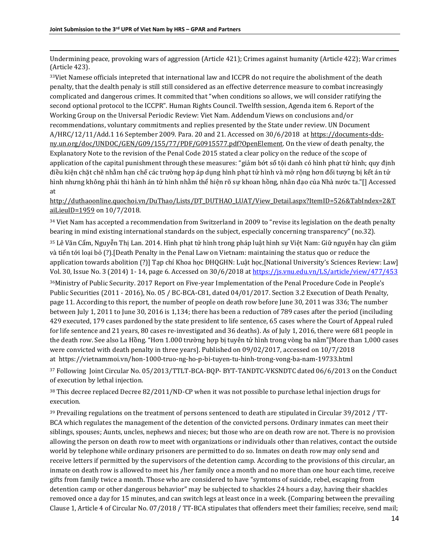Undermining peace, provoking wars of aggression (Article 421); Crimes against humanity (Article 422); War crimes (Article 423).

<sup>33</sup>Viet Namese officials intepreted that international law and ICCPR do not require the abolishment of the death penalty, that the dealth penaly is still still considered as an effective deterrence measure to combat increasingly complicated and dangerous crimes. It commited that "when conditions so allows, we will consider ratifying the second optional protocol to the ICCPR". Human Rights Council. Twelfth session, Agenda item 6. Report of the Working Group on the Universal Periodic Review: Viet Nam. Addendum Views on conclusions and/or recommendations, voluntary commitments and replies presented by the State under review. UN Document A/HRC/12/11/Add.1 16 September 2009. Para. 20 and 21. Accessed on 30/6/2018 a[t https://documents-dds](https://documents-dds-ny.un.org/doc/UNDOC/GEN/G09/155/77/PDF/G0915577.pdf?OpenElement)[ny.un.org/doc/UNDOC/GEN/G09/155/77/PDF/G0915577.pdf?OpenElement.](https://documents-dds-ny.un.org/doc/UNDOC/GEN/G09/155/77/PDF/G0915577.pdf?OpenElement) On the view of death penalty, the Explanatory Note to the revision of the Penal Code 2015 stated a clear policy on the reduce of the scope of application of the capital punishment through these measures: "giảm bớt số tội danh có hình phạt tử hình; quy định điều kiện chặt chẽ nhằm hạn chế các trường hợp áp dụng hình phạt tử hình và mở rộng hơn đối tượng bị kết án tử hình nhưng không phải thi hành án tử hình nhằm thể hiện rõ sự khoan hồng, nhân đạo của Nhà nước ta."[] Accessed at

[http://duthaoonline.quochoi.vn/DuThao/Lists/DT\\_DUTHAO\\_LUAT/View\\_Detail.aspx?ItemID=526&TabIndex=2&T](http://duthaoonline.quochoi.vn/DuThao/Lists/DT_DUTHAO_LUAT/View_Detail.aspx?ItemID=526&TabIndex=2&TaiLieuID=1959) [aiLieuID=1959](http://duthaoonline.quochoi.vn/DuThao/Lists/DT_DUTHAO_LUAT/View_Detail.aspx?ItemID=526&TabIndex=2&TaiLieuID=1959) on 10/7/2018.

 $34$  Viet Nam has accepted a recommendation from Switzerland in 2009 to "revise its legislation on the death penalty bearing in mind existing international standards on the subject, especially concerning transparency" (no.32).

<sup>35</sup> Lê Văn Cẩm, Nguyễn Thị Lan. 2014. Hình phạt tử hình trong pháp luật hình sự Việt Nam: Giữ nguyên hay cần giảm và tiến tới loại bỏ (?).[Death Penalty in the Penal Law on Vietnam: maintaining the status quo or reduce the application towards abolition (?)] Tạp chí Khoa học ĐHQGHN: Luật học,[National University's Sciences Review: Law] Vol. 30, Issue No. 3 (2014) 1- 14, page 6. Accessed on 30/6/2018 at<https://js.vnu.edu.vn/LS/article/view/477/453>

<sup>36</sup>Ministry of Public Security. 2017 Report on Five-year Implementation of the Penal Procedure Code in People's Public Securities (2011 - 2016), No. 05 / BC-BCA-C81, dated 04/01/2017. Section 3.2 Execution of Death Penalty, page 11. According to this report, the number of people on death row before June 30, 2011 was 336; The number between July 1, 2011 to June 30, 2016 is 1,134; there has been a reduction of 789 cases after the period (inciluding 429 executed, 179 cases pardoned by the state president to life sentence, 65 cases where the Court of Appeal ruled for life sentence and 21 years, 80 cases re-investigated and 36 deaths). As of July 1, 2016, there were 681 people in the death row. See also La Hồng. "Hơn 1.000 trường hợ p bị tuyên tử hình trong vòng ba năm"[More than 1,000 cases were convicted with death penalty in three years]. Published on 09/02/2017, accessed on 10/7/2018 a[t https://vietnammoi.vn/hon-1000-truo-ng-ho-p-bi-tuyen-tu-hinh-trong-vong-ba-nam-19733.html](https://vietnammoi.vn/hon-1000-truo-ng-ho-p-bi-tuyen-tu-hinh-trong-vong-ba-nam-19733.html)

<sup>37</sup> Following Joint Circular No. 05/2013/TTLT-BCA-BQP- BYT-TANDTC-VKSNDTC dated 06/6/2013 on the Conduct of execution by lethal injection.

<sup>38</sup> This decree replaced Decree 82/2011/ND-CP when it was not possible to purchase lethal injection drugs for execution.

<sup>39</sup> Prevailing regulations on the treatment of persons sentenced to death are stipulated in Circular 39/2012 / TT-BCA which regulates the management of the detention of the convicted persons. Ordinary inmates can meet their siblings, spouses; Aunts, uncles, nephews and nieces; but those who are on death row are not. There is no provision allowing the person on death row to meet with organizations or individuals other than relatives, contact the outside world by telephone while ordinary prisoners are permitted to do so. Inmates on death row may only send and receive letters if permitted by the supervisors of the detention camp. According to the provisions of this circular, an inmate on death row is allowed to meet his /her family once a month and no more than one hour each time, receive gifts from family twice a month. Those who are considered to have "symtoms of suicide, rebel, escaping from detention camp or other dangerous behavior" may be subjected to shackles 24 hours a day, having their shackles removed once a day for 15 minutes, and can switch legs at least once in a week. (Comparing between the prevailing Clause 1, Article 4 of Circular No. 07/2018 / TT-BCA stipulates that offenders meet their families; receive, send mail;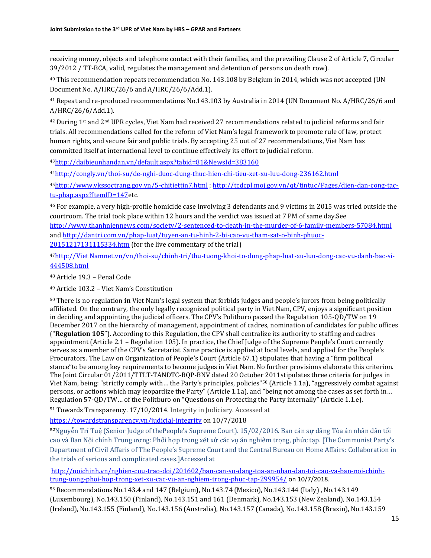receiving money, objects and telephone contact with their families, and the prevailing Clause 2 of Article 7, Circular 39/2012 / TT-BCA, valid, regulates the management and detention of persons on death row).

<sup>40</sup> This recommendation repeats recommendation No. 143.108 by Belgium in 2014, which was not accepted (UN Document No. A/HRC/26/6 and A/HRC/26/6/Add.1).

<sup>41</sup> Repeat and re-produced recommendations No.143.103 by Australia in 2014 (UN Document No. A/HRC/26/6 and A/HRC/26/6/Add.1).

 $42$  During 1<sup>st</sup> and 2<sup>nd</sup> UPR cycles, Viet Nam had received 27 recommendations related to judicial reforms and fair trials. All recommendations called for the reform of Viet Nam's legal framework to promote rule of law, protect human rights, and secure fair and public trials. By accepting 25 out of 27 recommendations, Viet Nam has committed itself at international level to continue effectively its effort to judicial reform.

<sup>43</sup><http://daibieunhandan.vn/default.aspx?tabid=81&NewsId=383160>

<sup>44</sup><http://congly.vn/thoi-su/de-nghi-duoc-dung-thuc-hien-chi-tieu-xet-xu-luu-dong-236162.html>

<sup>45</sup><http://www.vkssoctrang.gov.vn/5-chitiettin7.html> [; http://tcdcpl.moj.gov.vn/qt/tintuc/Pages/dien-dan-cong-tac](http://tcdcpl.moj.gov.vn/qt/tintuc/Pages/dien-dan-cong-tac-tu-phap.aspx?ItemID=147)[tu-phap.aspx?ItemID=147e](http://tcdcpl.moj.gov.vn/qt/tintuc/Pages/dien-dan-cong-tac-tu-phap.aspx?ItemID=147)tc.

<sup>46</sup> For example, a very high-profile homicide case involving 3 defendants and 9 victims in 2015 was tried outside the courtroom. The trial took place within 12 hours and the verdict was issued at 7 PM of same day.See <http://www.thanhniennews.com/society/2-sentenced-to-death-in-the-murder-of-6-family-members-57084.html> and [http://dantri.com.vn/phap-luat/tuyen-an-tu-hinh-2-bi-cao-vu-tham-sat-o-binh-phuoc-](http://dantri.com.vn/phap-luat/tuyen-an-tu-hinh-2-bi-cao-vu-tham-sat-o-binh-phuoc-20151217131115334.htm)

[20151217131115334.htm](http://dantri.com.vn/phap-luat/tuyen-an-tu-hinh-2-bi-cao-vu-tham-sat-o-binh-phuoc-20151217131115334.htm) (for the live commentary of the trial)

47[http://Viet Namnet.vn/vn/thoi-su/chinh-tri/thu-tuong-khoi-to-dung-phap-luat-xu-luu-dong-cac-vu-danh-bac-si-](http://vietnamnet.vn/vn/thoi-su/chinh-tri/thu-tuong-khoi-to-dung-phap-luat-xu-luu-dong-cac-vu-danh-bac-si-444508.html)[444508.html](http://vietnamnet.vn/vn/thoi-su/chinh-tri/thu-tuong-khoi-to-dung-phap-luat-xu-luu-dong-cac-vu-danh-bac-si-444508.html)

<sup>48</sup> Article 19.3 – Penal Code

 $\overline{\phantom{a}}$ 

<sup>49</sup> Article 103.2 – Viet Nam's Constitution

<sup>50</sup> There is no regulation **in** Viet Nam's legal system that forbids judges and people's jurors from being politically affiliated. On the contrary, the only legally recognized political party in Viet Nam, CPV, enjoys a significant position in deciding and appointing the judicial officers. The CPV's Politburo passed the Regulation 105-QD/TW on 19 December 2017 on the hierarchy of management, appointment of cadres, nomination of candidates for public offices ("**Regulation 105**"). According to this Regulation, the CPV shall centralize its authority to staffing and cadres appointment (Article 2.1 – Regulation 105). In practice, the Chief Judge of the Supreme People's Court currently serves as a member of the CPV's Secretariat. Same practice is applied at local levels, and applied for the People's Procurators. The Law on Organization of People's Court (Article 67.1) stipulates that having a "firm political stance"to be among key requirements to become judges in Viet Nam. No further provisions elaborate this criterion. The Joint Circular 01/2011/TTLT-TANDTC-BQP-BNV dated 20 October 2011stipulates three criteria for judges in Viet Nam, being: "strictly comply with… the Party's principles, policies"<sup>50</sup> (Article 1.1a), "aggressively combat against persons, or actions which may jeopardize the Party" (Article 1.1a), and "being not among the cases as set forth in… Regulation 57-QD/TW… of the Politburo on "Questions on Protecting the Party internally" (Article 1.1.e).

<sup>51</sup> Towards Transparency. 17/10/2014. Integrity in Judiciary. Accessed at

<https://towardstransparency.vn/judicial-integrity> on 10/7/2018

**<sup>52</sup>**Nguyễn Trí Tuệ (Senior Judge of thePeople's Supreme Court). 15/02/2016. Ban cán sự đảng Tòa án nhân dân tối cao và Ban Nội chính Trung ương: Phối hợp trong xét xử các vụ án nghiêm trọng, phức tạp. [The Communist Party's Department of Civil Affaris of The People's Supreme Court and the Central Bureau on Home Affairs: Collaboration in the trials of serious and complicated cases.]Accessed at

[http://noichinh.vn/nghien-cuu-trao-doi/201602/ban-can-su-dang-toa-an-nhan-dan-toi-cao-va-ban-noi-chinh](http://noichinh.vn/nghien-cuu-trao-doi/201602/ban-can-su-dang-toa-an-nhan-dan-toi-cao-va-ban-noi-chinh-trung-uong-phoi-hop-trong-xet-xu-cac-vu-an-nghiem-trong-phuc-tap-299954/)[trung-uong-phoi-hop-trong-xet-xu-cac-vu-an-nghiem-trong-phuc-tap-299954/](http://noichinh.vn/nghien-cuu-trao-doi/201602/ban-can-su-dang-toa-an-nhan-dan-toi-cao-va-ban-noi-chinh-trung-uong-phoi-hop-trong-xet-xu-cac-vu-an-nghiem-trong-phuc-tap-299954/) on 10/7/2018.

<sup>53</sup> Recommendations No.143.4 and 147 (Belgium), No.143.74 (Mexico), No.143.144 (Italy) , No.143.149 (Luxembourg), No.143.150 (Finland), No.143.151 and 161 (Denmark), No.143.153 (New Zealand), No.143.154 (Ireland), No.143.155 (Finland), No.143.156 (Australia), No.143.157 (Canada), No.143.158 (Braxin), No.143.159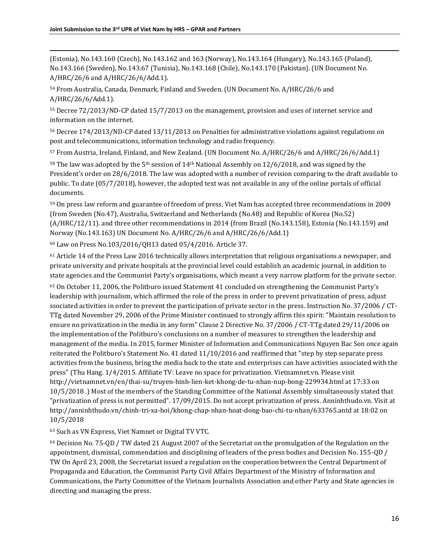$\overline{\phantom{a}}$ (Estonia), No.143.160 (Czech), No.143.162 and 163 (Norway), No.143.164 (Hungary), No.143.165 (Poland), No.143.166 (Sweden), No.143.67 (Tunisia), No.143.168 (Chile), No.143.170 (Pakistan). (UN Document No. A/HRC/26/6 and A/HRC/26/6/Add.1).

<sup>54</sup> From Australia, Canada, Denmark, Finland and Sweden. (UN Document No. A/HRC/26/6 and A/HRC/26/6/Add.1).

<sup>55</sup> Decree 72/2013/ND-CP dated 15/7/2013 on the management, provision and uses of internet service and information on the internet.

<sup>56</sup> Decree 174/2013/ND-CP dated 13/11/2013 on Penalties for administrative violations against regulations on post and telecommunications, information technology and radio frequency.

<sup>57</sup> From Austria, Ireland, Finland, and New Zealand. (UN Document No. A/HRC/26/6 and A/HRC/26/6/Add.1)

<sup>58</sup> The law was adopted by the 5<sup>th</sup> session of 14<sup>th</sup> National Assembly on 12/6/2018, and was signed by the President's order on 28/6/2018. The law was adopted with a number of revision comparing to the draft available to public. To date (05/7/2018), however, the adopted text was not available in any of the online portals of official documents.

<sup>59</sup> On press law reform and guarantee of freedom of press, Viet Nam has accepted three recommendations in 2009 (from Sweden (No.47), Australia, Switzerland and Netherlands (No.48) and Republic of Korea (No.52) (A/HRC/12/11). and three other recommendations in 2014 (from Brazil (No.143.158), Estonia (No.143.159) and Norway (No.143.163) UN Document No. A/HRC/26/6 and A/HRC/26/6/Add.1)

<sup>60</sup> Law on Press No.103/2016/QH13 dated 05/4/2016. Article 37.

<sup>61</sup> Article 14 of the Press Law 2016 technically allows interpretation that religious organisations a newspaper, and private university and private hospitals at the provincial level could establish an academic journal, in addition to state agencies and the Communist Party's organisations, which meant a very narrow platform for the private sector.

<sup>62</sup> On October 11, 2006, the Politburo issued Statement 41 concluded on strengthening the Communist Party's leadership with journalism, which affirmed the role of the press in order to prevent privatization of press, adjust ssociated activities in order to prevent the participation of private sector in the press. Instruction No. 37/2006 / CT-TTg dated November 29, 2006 of the Prime Minister continued to strongly affirm this spirit: "Maintain resolution to ensure no privatization in the media in any form" Clause 2 Directive No. 37/2006 / CT-TTg dated 29/11/2006 on the implementation of the Politburo's conclusions on a number of measures to strengthen the leadership and management of the media. In 2015, former Minister of Information and Communications Nguyen Bac Son once again reiterated the Politburo's Statement No. 41 dated 11/10/2016 and reaffirmed that "step by step separate press activities from the business, bring the media back to the state and enterprises can have activities associated with the press" (Thu Hang. 1/4/2015. Affiliate TV: Leave no space for privatization. Vietnamnet.vn. Please visit http://vietnamnet.vn/en/thai-su/truyen-hinh-lien-ket-khong-de-tu-nhan-nup-bong-229934.html at 17:33 on 10/5/2018 .) Most of the members of the Standing Committee of the National Assembly simultaneously stated that "privatization of press is not permitted". 17/09/2015. Do not accept privatization of press. Anninhthudo.vn. Visit at http://anninhthudo.vn/chinh-tri-xa-hoi/khong-chap-nhan-hoat-dong-bao-chi-tu-nhan/633765.antd at 18:02 on 10/5/2018

<sup>63</sup> Such as VN Express, Viet Namnet or Digital TV VTC.

<sup>64</sup> Decision No. 75-QD / TW dated 21 August 2007 of the Secretariat on the promulgation of the Regulation on the appointment, dismissal, commendation and disciplining of leaders of the press bodies and Decision No. 155-QD / TW On April 23, 2008, the Secretariat issued a regulation on the cooperation between the Central Department of Propaganda and Education, the Communist Party Civil Affairs Department of the Ministry of Information and Communications, the Party Committee of the Vietnam Journalists Association and other Party and State agencies in directing and managing the press.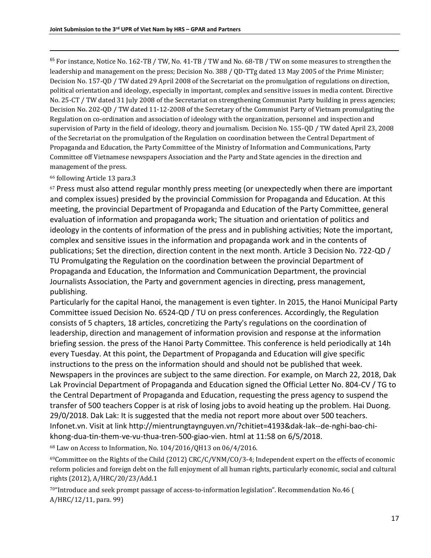$<sup>65</sup>$  For instance, Notice No. 162-TB / TW, No. 41-TB / TW and No. 68-TB / TW on some measures to strengthen the</sup> leadership and management on the press; Decision No. 388 / QD-TTg dated 13 May 2005 of the Prime Minister; Decision No. 157-QD / TW dated 29 April 2008 of the Secretariat on the promulgation of regulations on direction, political orientation and ideology, especially in important, complex and sensitive issues in media content. Directive No. 25-CT / TW dated 31 July 2008 of the Secretariat on strengthening Communist Party building in press agencies; Decision No. 202-QD / TW dated 11-12-2008 of the Secretary of the Communist Party of Vietnam promulgating the Regulation on co-ordination and association of ideology with the organization, personnel and inspection and supervision of Party in the field of ideology, theory and journalism. Decision No. 155-QD / TW dated April 23, 2008 of the Secretariat on the promulgation of the Regulation on coordination between the Central Department of Propaganda and Education, the Party Committee of the Ministry of Information and Communications, Party Committee off Vietnamese newspapers Association and the Party and State agencies in the direction and management of the press.

#### <sup>66</sup> following Article 13 para.3

 $\overline{\phantom{a}}$ 

 $67$  Press must also attend regular monthly press meeting (or unexpectedly when there are important and complex issues) presided by the provincial Commission for Propaganda and Education. At this meeting, the provincial Department of Propaganda and Education of the Party Committee, general evaluation of information and propaganda work; The situation and orientation of politics and ideology in the contents of information of the press and in publishing activities; Note the important, complex and sensitive issues in the information and propaganda work and in the contents of publications; Set the direction, direction content in the next month. Article 3 Decision No. 722-QD / TU Promulgating the Regulation on the coordination between the provincial Department of Propaganda and Education, the Information and Communication Department, the provincial Journalists Association, the Party and government agencies in directing, press management, publishing.

Particularly for the capital Hanoi, the management is even tighter. In 2015, the Hanoi Municipal Party Committee issued Decision No. 6524-QD / TU on press conferences. Accordingly, the Regulation consists of 5 chapters, 18 articles, concretizing the Party's regulations on the coordination of leadership, direction and management of information provision and response at the information briefing session. the press of the Hanoi Party Committee. This conference is held periodically at 14h every Tuesday. At this point, the Department of Propaganda and Education will give specific instructions to the press on the information should and should not be published that week. Newspapers in the provinces are subject to the same direction. For example, on March 22, 2018, Dak Lak Provincial Department of Propaganda and Education signed the Official Letter No. 804-CV / TG to the Central Department of Propaganda and Education, requesting the press agency to suspend the transfer of 500 teachers Copper is at risk of losing jobs to avoid heating up the problem. Hai Duong. 29/0/2018. Dak Lak: It is suggested that the media not report more about over 500 teachers. Infonet.vn. Visit at link http://mientrungtaynguyen.vn/?chitiet=4193&dak-lak--de-nghi-bao-chikhong-dua-tin-them-ve-vu-thua-tren-500-giao-vien. html at 11:58 on 6/5/2018.

<sup>68</sup> Law on Access to Information, No. 104/2016/QH13 on 06/4/2016.

<sup>69</sup>Committee on the Rights of the Child (2012[\) CRC/C/VNM/CO/3-4;](https://uhri.ohchr.org/document/index/8931C140-A935-416B-846C-5D474C30B47B) Independent expert on the effects of economic reform policies and foreign debt on the full enjoyment of all human rights, particularly economic, social and cultural rights (2012), [A/HRC/20/23/Add.1](https://uhri.ohchr.org/document/index/ADA8E2C6-F157-4F46-B9D5-B1947FA49C41) 

<sup>70</sup>"Introduce and seek prompt passage of access-to-information legislation". Recommendation No.46 ( [A/HRC/12/11,](https://uhri.ohchr.org/document/index/7EA90DAD-3923-4BF8-AC63-5AFCFA084B16) para. 99)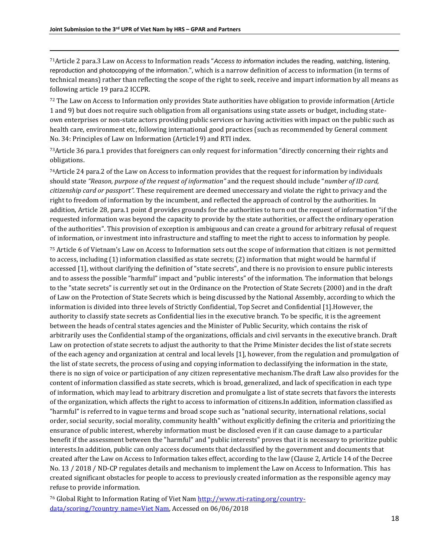<sup>71</sup>Article 2 para.3 Law on Access to Information reads "*Access to information* includes the reading, watching, listening, reproduction and photocopying of the information.", which is a narrow definition of access to information (in terms of technical means) rather than reflecting the scope of the right to seek, receive and impart information by all means as following article 19 para.2 ICCPR.

72 The Law on Access to Information only provides State authorities have obligation to provide information (Article 1 and 9) but does not require such obligation from all organisations using state assets or budget, including stateown enterprises or non-state actors providing public services or having activities with impact on the public such as health care, environment etc, following international good practices (such as recommended by General comment No. 34: Principles of Law on Information (Article19) and RTI index.

<sup>73</sup>Article 36 para.1 provides that foreigners can only request for information "directly concerning their rights and obligations.

 $74$ Article 24 para.2 of the Law on Access to information provides that the request for information by individuals should state *"Reason, purpose of the request of information"* and the request should include "*number of ID card, citizenship card or passport".* These requirement are deemed uneccessary and violate the right to privacy and the right to freedom of information by the incumbent, and reflected the approach of control by the authorities. In addition, Article 28, para.1 point đ provides grounds for the authorities to turn out the request of information "if the requested information was beyond the capacity to provide by the state authorities, or affect the ordinary operation of the authorities". This provision of exception is ambiguous and can create a ground for arbitrary refusal of request of information, or investment into infrastructure and staffing to meet the right to access to information by people.

<sup>75</sup> Article 6 of Vietnam's Law on Access to Information sets out the scope of information that citizen is not permitted to access, including (1) information classified as state secrets; (2) information that might would be harmful if accessed [1], without clarifying the definition of "state secrets", and there is no provision to ensure public interests and to assess the possible "harmful" impact and "public interests" of the information. The information that belongs to the "state secrets" is currently set out in the Ordinance on the Protection of State Secrets (2000) and in the draft of Law on the Protection of State Secrets which is being discussed by the National Assembly, according to which the information is divided into three levels of Strictly Confidential, Top Secret and Confidential [1].However, the authority to classify state secrets as Confidential lies in the executive branch. To be specific, it is the agreement between the heads of central states agencies and the Minister of Public Security, which contains the risk of arbitrarily uses the Confidential stamp of the organizations, officials and civil servants in the executive branch. Draft Law on protection of state secrets to adjust the authority to that the Prime Minister decides the list of state secrets of the each agency and organization at central and local levels [1], however, from the regulation and promulgation of the list of state secrets, the process of using and copying information to declassifying the information in the state, there is no sign of voice or participation of any citizen representative mechanism.The draft Law also provides for the content of information classified as state secrets, which is broad, generalized, and lack of specification in each type of information, which may lead to arbitrary discretion and promulgate a list of state secrets that favors the interests of the organization, which affects the right to access to information of citizens.In addition, information classified as "harmful" is referred to in vague terms and broad scope such as "national security, international relations, social order, social security, social morality, community health" without explicitly defining the criteria and prioritizing the ensurance of public interest, whereby information must be disclosed even if it can cause damage to a particular benefit if the assessment between the "harmful" and "public interests" proves that it is necessary to prioritize public interests.In addition, public can only access documents that declassified by the government and documents that created after the Law on Access to Information takes effect, according to the law (Clause 2, Article 14 of the Decree No. 13 / 2018 / ND-CP regulates details and mechanism to implement the Law on Access to Information. This has created significant obstacles for people to access to previously created information as the responsible agency may refuse to provide information.

<sup>76</sup> Global Right to Information Rating of Viet Na[m http://www.rti-rating.org/country](http://www.rti-rating.org/country-data/scoring/?country_name=Vietnam)[data/scoring/?country\\_name=Viet Nam,](http://www.rti-rating.org/country-data/scoring/?country_name=Vietnam) Accessed on 06/06/2018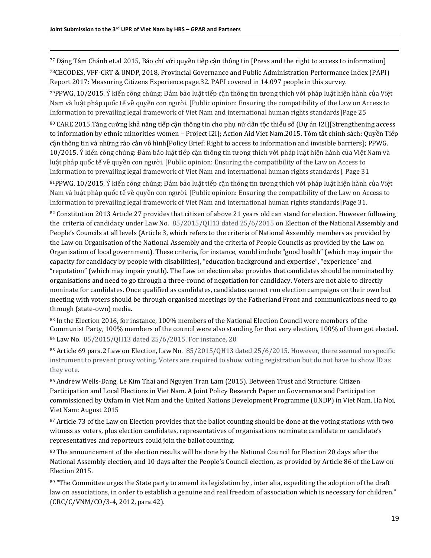<sup>77</sup> Đặng Tâm Chánh et.al 2015, Báo chí với quyền tiếp cận thông tin [Press and the right to access to information] <sup>78</sup>CECODES, VFF-CRT & UNDP, 2018, Provincial Governance and Public Administration Performance Index (PAPI) Report 2017: Measuring Citizens Experience.page.32. PAPI covered in 14.097 people in this survey.

<sup>79</sup>PPWG. 10/2015. Ý kiến công chúng: Đảm bảo luật tiếp cận thông tin tương thích với pháp luật hiện hành của Việt Nam và luật pháp quốc tế về quyền con người. [Public opinion: Ensuring the compatibility of the Law on Access to Information to prevailing legal framework of Viet Nam and international human rights standards]Page 25

<sup>80</sup> CARE 2015.Tăng cường khả năng tiếp cận thông tin cho phụ nữ dân tộc thiểu số (Dự án I2I)[Strengthening access to information by ethnic minorities women – Project I2I]; Action Aid Viet Nam.2015. Tóm tắt chính sách: Quyền Tiếp cận thông tin và những rào cản vô hình[Policy Brief: Right to access to information and invisible barriers]; PPWG. 10/2015. Ý kiến công chúng: Đảm bảo luật tiếp cận thông tin tương thích với pháp luật hiện hành của Việt Nam và luật pháp quốc tế về quyền con người. [Public opinion: Ensuring the compatibility of the Law on Access to Information to prevailing legal framework of Viet Nam and international human rights standards]. Page 31

<sup>81</sup>PPWG. 10/2015. Ý kiến công chúng: Đảm bảo luật tiếp cận thông tin tương thích với pháp luật hiện hành của Việt Nam và luật pháp quốc tế về quyền con người. [Public opinion: Ensuring the compatibility of the Law on Access to Information to prevailing legal framework of Viet Nam and international human rights standards]Page 31.

 $82$  Constitution 2013 Article 27 provides that citizen of above 21 years old can stand for election. However following the criteria of candidacy under Law No. 85/2015/QH13 dated 25/6/2015 on Election of the National Assembly and People's Councils at all levels (Article 3, which refers to the criteria of National Assembly members as provided by the Law on Organisation of the National Assembly and the criteria of People Councils as provided by the Law on Organisation of local government). These criteria, for instance, would include "good health" (which may impair the capacity for candidacy by people with disabilities), "education background and expertise", "experience" and "reputation" (which may impair youth). The Law on election also provides that candidates should be nominated by organisations and need to go through a three-round of negotiation for candidacy. Voters are not able to directly nominate for candidates. Once qualified as candidates, candidates cannot run election campaigns on their own but meeting with voters should be through organised meetings by the Fatherland Front and communications need to go through (state-own) media.

83 In the Election 2016, for instance, 100% members of the National Election Council were members of the Communist Party, 100% members of the council were also standing for that very election, 100% of them got elected. <sup>84</sup> Law No. 85/2015/QH13 dated 25/6/2015. For instance, 20

<sup>85</sup> Article 69 para.2 Law on Election, Law No. 85/2015/QH13 dated 25/6/2015. However, there seemed no specific instrument to prevent proxy voting. Voters are required to show voting registration but do not have to show ID as they vote.

<sup>86</sup> Andrew Wells-Dang, Le Kim Thai and Nguyen Tran Lam (2015). Between Trust and Structure: Citizen Participation and Local Elections in Viet Nam. A Joint Policy Research Paper on Governance and Participation commissioned by Oxfam in Viet Nam and the United Nations Development Programme (UNDP) in Viet Nam. Ha Noi, Viet Nam: August 2015

87 Article 73 of the Law on Election provides that the ballot counting should be done at the voting stations with two witness as voters, plus election candidates, representatives of organisations nominate candidate or candidate's representatives and reporteurs could join the ballot counting.

<sup>88</sup> The announcement of the election results will be done by the National Council for Election 20 days after the National Assembly election, and 10 days after the People's Council election, as provided by Article 86 of the Law on Election 2015.

<sup>89</sup> "The Committee urges the State party to amend its legislation by, inter alia, expediting the adoption of the draft law on associations, in order to establish a genuine and real freedom of association which is necessary for children." (CRC/C/VNM/CO/3-4, 2012, para.42).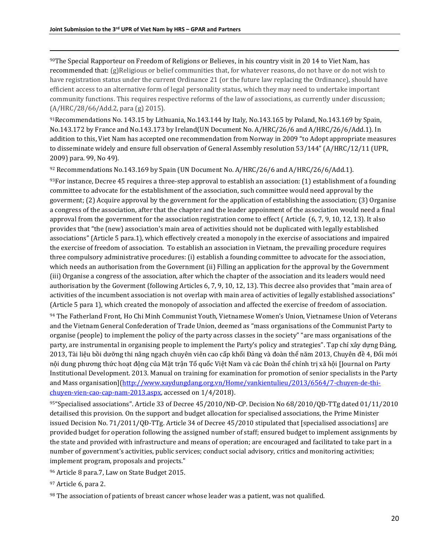<sup>90</sup>The Special Rapporteur on Freedom of Religions or Believes, in his country visit in 20 14 to Viet Nam, has recommended that: (g)Religious or belief communities that, for whatever reasons, do not have or do not wish to have registration status under the current Ordinance 21 (or the future law replacing the Ordinance), should have efficient access to an alternative form of legal personality status, which they may need to undertake important community functions. This requires respective reforms of the law of associations, as currently under discussion; (A/HRC/28/66/Add.2, para (g) 2015).

<sup>91</sup>Recommendations No. 143.15 by Lithuania, No.143.144 by Italy, No.143.165 by Poland, No.143.169 by Spain, No.143.172 by France and No.143.173 by Ireland(UN Document No. A/HRC/26/6 and A/HRC/26/6/Add.1). In addition to this, Viet Nam has accepted one recommendation from Norway in 2009 "to Adopt appropriate measures to disseminate widely and ensure full observation of General Assembly resolution 53/144" ([A/HRC/12/11 \(UPR,](https://uhri.ohchr.org/document/index/7EA90DAD-3923-4BF8-AC63-5AFCFA084B16)  [2009\) para. 99,](https://uhri.ohchr.org/document/index/7EA90DAD-3923-4BF8-AC63-5AFCFA084B16) No 49).

<sup>92</sup> Recommendations No.143.169 by Spain (UN Document No. A/HRC/26/6 and A/HRC/26/6/Add.1).

 $93$ For instance, Decree 45 requires a three-step approval to establish an association: (1) establishment of a founding committee to advocate for the establishment of the association, such committee would need approval by the goverment; (2) Acquire approval by the government for the application of establishing the association; (3) Organise a congress of the association, after that the chapter and the leader appoinment of the association would need a final approval from the government for the association registration come to effect ( Article (6, 7, 9, 10, 12, 13). It also provides that "the (new) association's main area of activities should not be duplicated with legally established associations" (Article 5 para.1), which effectively created a monopoly in the exercise of associations and impaired the exercise of freedom of association. To establish an association in Vietnam, the prevailing procedure requires three compulsory administrative procedures: (i) establish a founding committee to advocate for the association, which needs an authorisation from the Government (ii) Filling an application for the approval by the Government (iii) Organise a congress of the association, after which the chapter of the association and its leaders would need authorisation by the Goverment (following Articles 6, 7, 9, 10, 12, 13). This decree also provides that "main area of activities of the incumbent association is not overlap with main area of activities of legally established associations" (Article 5 para 1), which created the monopoly of association and affected the exercise of freedom of association.

<sup>94</sup> The Fatherland Front, Ho Chi Minh Communist Youth, Vietnamese Women's Union, Vietnamese Union of Veterans and the Vietnam General Confederation of Trade Union, deemed as "mass organisations of the Communist Party to organise (people) to implement the policy of the party across classes in the society" "are mass organisations of the party, are instrumental in organising people to implement the Party's policy and strategies". Tạp chí xây dựng Đảng, 2013, Tài liệu bồi dưỡng thi nâng ngạch chuyên viên cao cấp khối Đảng và đoàn thể năm 2013, Chuyên đề 4, Đổi mới nội dung phương thức hoạt động của Mặt trận Tổ quốc Việt Nam và các Đoàn thể chính trị xã hội [Journal on Party Institutional Development. 2013. Manual on training for examination for promotion of senior specialists in the Party and Mass organisation][\(http://www.xaydungdang.org.vn/Home/vankientulieu/2013/6564/7-chuyen-de-thi](http://www.xaydungdang.org.vn/Home/vankientulieu/2013/6564/7-chuyen-de-thi-chuyen-vien-cao-cap-nam-2013.aspx)[chuyen-vien-cao-cap-nam-2013.aspx,](http://www.xaydungdang.org.vn/Home/vankientulieu/2013/6564/7-chuyen-de-thi-chuyen-vien-cao-cap-nam-2013.aspx) accessed on 1/4/2018).

<sup>95</sup>"Specialised associations". Article 33 of Decree 45/2010/NĐ-CP. Decision No 68/2010/QĐ-TTg dated 01/11/2010 detailised this provision. On the support and budget allocation for specialised associations, the Prime Minister issued Decision No. 71/2011/QĐ-TTg. Article 34 of Decree 45/2010 stipulated that [specialised associations] are provided budget for operation following the assigned number of staff; ensured budget to implement assignments by the state and provided with infrastructure and means of operation; are encouraged and facilitated to take part in a number of government's activities, public services; conduct social advisory, critics and monitoring activities; implement program, proposals and projects."

<sup>96</sup> Article 8 para.7, Law on State Budget 2015.

<sup>97</sup> Article 6, para 2.

98 The association of patients of breast cancer whose leader was a patient, was not qualified.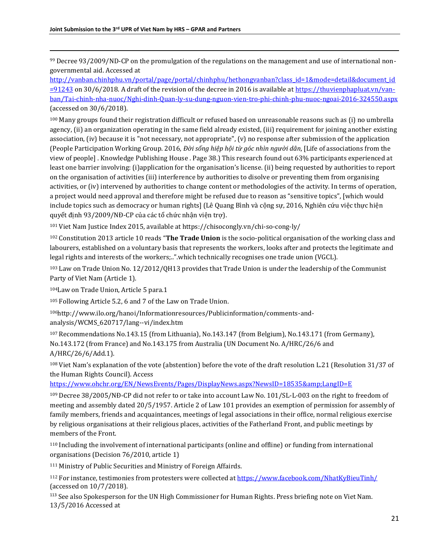<sup>99</sup> Decree 93/2009/ND-CP on the promulgation of the regulations on the management and use of international nongovernmental aid. Accessed at

[http://vanban.chinhphu.vn/portal/page/portal/chinhphu/hethongvanban?class\\_id=1&mode=detail&document\\_id](http://vanban.chinhphu.vn/portal/page/portal/chinhphu/hethongvanban?class_id=1&mode=detail&document_id=91243)  $=$ 91243 on 30/6/2018. A draft of the revision of the decree in 2016 is available at [https://thuvienphapluat.vn/van](https://thuvienphapluat.vn/van-ban/Tai-chinh-nha-nuoc/Nghi-dinh-Quan-ly-su-dung-nguon-vien-tro-phi-chinh-phu-nuoc-ngoai-2016-324550.aspx)[ban/Tai-chinh-nha-nuoc/Nghi-dinh-Quan-ly-su-dung-nguon-vien-tro-phi-chinh-phu-nuoc-ngoai-2016-324550.aspx](https://thuvienphapluat.vn/van-ban/Tai-chinh-nha-nuoc/Nghi-dinh-Quan-ly-su-dung-nguon-vien-tro-phi-chinh-phu-nuoc-ngoai-2016-324550.aspx) (accessed on 30/6/2018).

<sup>100</sup> Many groups found their registration difficult or refused based on unreasonable reasons such as (i) no umbrella agency, (ii) an organization operating in the same field already existed, (iii) requirement for joining another existing association, (iv) because it is "not necessary, not appropriate", (v) no response after submission of the application (People Participation Working Group. 2016, *Đời sống hiệp hội từ góc nhìn người dân*, [Life of associations from the view of people] . Knowledge Publishing House . Page 38.) This research found out 63% participants experienced at least one barrier involving: (i)application for the organisation's license. (ii) being requested by authorities to report on the organisation of activities (iii) interference by authorities to disolve or preventing them from organising activities, or (iv) intervened by authorities to change content or methodologies of the activity. In terms of operation, a project would need approval and therefore might be refused due to reason as "sensitive topics", [which would include topics such as democracy or human rights] (Lê Quang Bình và cộng sự, 2016, Nghiên cứu việc thực hiện quyết định 93/2009/NĐ-CP của các tổ chức nhận viện trợ).

<sup>101</sup> Viet Nam Justice Index 2015, available at https://chisocongly.vn/chi-so-cong-ly/

<sup>102</sup> Constitution 2013 article 10 reads "**The Trade Union** is the socio-political organisation of the working class and labourers, established on a voluntary basis that represents the workers, looks after and protects the legitimate and legal rights and interests of the workers;..".which technically recognises one trade union (VGCL).

<sup>103</sup> Law on Trade Union No. 12/2012/QH13 provides that Trade Union is under the leadership of the Communist Party of Viet Nam (Article 1).

<sup>104</sup>Law on Trade Union, Article 5 para.1

<sup>105</sup> Following Article 5.2, 6 and 7 of the Law on Trade Union.

106http://www.ilo.org/hanoi/Informationresources/Publicinformation/comments-andanalysis/WCMS\_620717/lang--vi/index.htm

<sup>107</sup> Recommendations No.143.15 (from Lithuania), No.143.147 (from Belgium), No.143.171 (from Germany), No.143.172 (from France) and No.143.175 from Australia (UN Document No. A/HRC/26/6 and A/HRC/26/6/Add.1).

<sup>108</sup> Viet Nam's explanation of the vote (abstention) before the vote of the draft resolution L.21 (Resolution 31/37 of the Human Rights Council). Access

<https://www.ohchr.org/EN/NewsEvents/Pages/DisplayNews.aspx?NewsID=18535&LangID=E>

<sup>109</sup> Decree 38/2005/NĐ-CP did not refer to or take into account Law No. 101/SL-L-003 on the right to freedom of meeting and assembly dated 20/5/1957. Article 2 of Law 101 provides an exemption of permission for assembly of family members, friends and acquaintances, meetings of legal associations in their office, normal religious exercise by religious organisations at their religious places, activities of the Fatherland Front, and public meetings by members of the Front.

<sup>110</sup> Including the involvement of international participants (online and offline) or funding from international organisations (Decision 76/2010, article 1)

<sup>111</sup> Ministry of Public Securities and Ministry of Foreign Affairds.

<sup>112</sup> For instance, testimonies from protesters were collected a[t https://www.facebook.com/NhatKyBieuTinh/](https://www.facebook.com/NhatKyBieuTinh/) (accessed on 10/7/2018).

<sup>113</sup> See also Spokesperson for the UN High Commissioner for Human Rights. Press briefing note on Viet Nam. 13/5/2016 Accessed at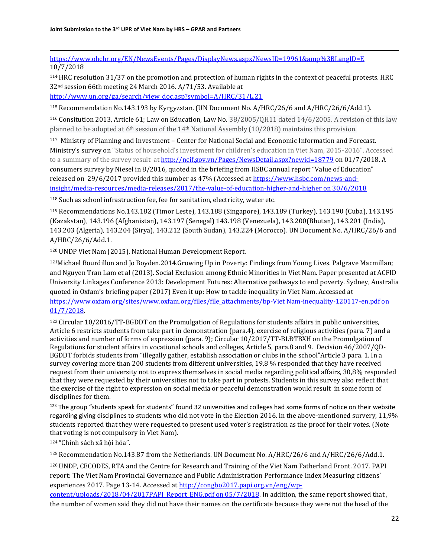$\overline{\phantom{a}}$ [https://www.ohchr.org/EN/NewsEvents/Pages/DisplayNews.aspx?NewsID=19961&amp%3BLangID=E](https://www.ohchr.org/EN/NewsEvents/Pages/DisplayNews.aspx?NewsID=19961&%3BLangID=E) 10/7/2018

<sup>114</sup> HRC resolution 31/37 on the promotion and protection of human rights in the context of peaceful protests. HRC 32nd session 66th meeting 24 March 2016. A/71/53. Available at

[http://www.un.org/ga/search/view\\_doc.asp?symbol=A/HRC/31/L.21](http://www.un.org/ga/search/view_doc.asp?symbol=A/HRC/31/L.21)

<sup>115</sup> Recommendation No.143.193 by Kyrgyzstan. (UN Document No. A/HRC/26/6 and A/HRC/26/6/Add.1).

<sup>116</sup> Consitution 2013, Article 61; Law on Education, Law No. 38/2005/QH11 dated 14/6/2005. A revision of this law planned to be adopted at 6<sup>th</sup> session of the 14<sup>th</sup> National Assembly (10/2018) maintains this provision.

<sup>117</sup> Ministry of Planning and Investment – Center for National Social and Economic Information and Forecast. Ministry's survey on "Status of household's investment for children's education in Viet Nam, 2015-2016". Accessed to a summary of the survey result at<http://ncif.gov.vn/Pages/NewsDetail.aspx?newid=18779> on 01/7/2018. A consumers survey by Niesel in 8/2016, quoted in the briefing from HSBC annual report "Value of Education" released on 29/6/2017 provided this number as 47% (Accessed a[t https://www.hsbc.com/news-and](https://www.hsbc.com/news-and-insight/media-resources/media-releases/2017/the-value-of-education-higher-and-higher%20on%2030/6/2018)[insight/media-resources/media-releases/2017/the-value-of-education-higher-and-higher on 30/6/2018](https://www.hsbc.com/news-and-insight/media-resources/media-releases/2017/the-value-of-education-higher-and-higher%20on%2030/6/2018)

<sup>118</sup> Such as school infrastruction fee, fee for sanitation, electricity, water etc.

<sup>119</sup> Recommendations No.143.182 (Timor Leste), 143.188 (Singapore), 143.189 (Turkey), 143.190 (Cuba), 143.195 (Kazakstan), 143.196 (Afghanistan), 143.197 (Senegal) 143.198 (Venezuela), 143.200(Bhutan), 143.201 (India), 143.203 (Algeria), 143.204 (Sirya), 143.212 (South Sudan), 143.224 (Morocco). UN Document No. A/HRC/26/6 and A/HRC/26/6/Add.1.

<sup>120</sup> UNDP Viet Nam (2015). National Human Development Report.

<sup>121</sup>Michael Bourdillon and Jo Boyden.2014.Growing Up in Poverty: Findings from Young Lives. Palgrave Macmillan; and Nguyen Tran Lam et al (2013). Social Exclusion among Ethnic Minorities in Viet Nam. Paper presented at ACFID University Linkages Conference 2013: Development Futures: Alternative pathways to end poverty. Sydney, Australia quoted in Oxfam's briefing paper (2017) Even it up: How to tackle inequality in Viet Nam. Accessed at [https://www.oxfam.org/sites/www.oxfam.org/files/file\\_attachments/bp-Viet Nam-inequality-120117-en.pdf on](https://www.oxfam.org/sites/www.oxfam.org/files/file_attachments/bp-vietnam-inequality-120117-en.pdf%20on%2001/7/2018)  [01/7/2018.](https://www.oxfam.org/sites/www.oxfam.org/files/file_attachments/bp-vietnam-inequality-120117-en.pdf%20on%2001/7/2018) 

<sup>122</sup> Circular 10/2016/TT-BGDĐT on the Promulgation of Regulations for students affairs in public universities, Article 6 restricts students from take part in demonstration (para.4), exercise of religious activities (para. 7) and a activities and number of forms of expression (para. 9); Circular 10/2017/TT-BLĐTBXH on the Promulgation of Regulations for student affairs in vocational schools and colleges, Article 5, para.8 and 9. Decision 46/2007/QĐ-BGDĐT forbids students from "illegally gather, establish association or clubs in the school"Article 3 para. 1. In a survey covering more than 200 students from different universities, 19,8 % responded that they have received request from their university not to express themselves in social media regarding political affairs, 30,8% responded that they were requested by their universities not to take part in protests. Students in this survey also reflect that the exercise of the right to expression on social media or peaceful demonstration would result in some form of disciplines for them.

123 The group "students speak for students" found 32 universities and colleges had some forms of notice on their website regarding giving disciplines to students who did not vote in the Election 2016. In the above-mentioned survery, 11,9% students reported that they were requested to present used voter's registration as the proof for their votes. (Note that voting is not compulsory in Viet Nam).

<sup>124</sup> "Chính sách xã hội hóa".

<sup>125</sup> Recommendation No.143.87 from the Netherlands. UN Document No. A/HRC/26/6 and A/HRC/26/6/Add.1.

<sup>126</sup> UNDP, CECODES, RTA and the Centre for Research and Training of the Viet Nam Fatherland Front. 2017. PAPI report: The Viet Nam Provincial Governance and Public Administration Performance Index Measuring citizens' experiences 2017. Page 13-14. Accessed a[t http://congbo2017.papi.org.vn/eng/wp-](http://congbo2017.papi.org.vn/eng/wp-content/uploads/2018/04/2017PAPI_Report_ENG.pdf%20on%2005/7/2018)

[content/uploads/2018/04/2017PAPI\\_Report\\_ENG.pdf on 05/7/2018.](http://congbo2017.papi.org.vn/eng/wp-content/uploads/2018/04/2017PAPI_Report_ENG.pdf%20on%2005/7/2018) In addition, the same report showed that , the number of women said they did not have their names on the certificate because they were not the head of the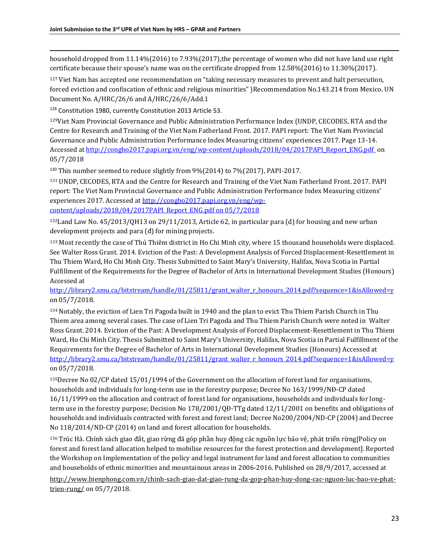household dropped from 11.14%(2016) to 7.93%(2017), the percentage of women who did not have land use right certificate because their spouse's name was on the certificate dropped from 12.58%(2016) to 11.30%(2017).

<sup>127</sup> Viet Nam has accepted one recommendation on "taking necessary measures to prevent and halt persecution, forced eviction and confiscation of ethnic and religious minorities" )Recommendation No.143.214 from Mexico. UN Document No. A/HRC/26/6 and A/HRC/26/6/Add.1

<sup>128</sup> Constitution 1980, currently Constitution 2013 Article 53.

 $\overline{\phantom{a}}$ 

<sup>129</sup>Viet Nam Provincial Governance and Public Administration Performance Index (UNDP, CECODES, RTA and the Centre for Research and Training of the Viet Nam Fatherland Front. 2017. PAPI report: The Viet Nam Provincial Governance and Public Administration Performance Index Measuring citizens' experiences 2017. Page 13-14. Accessed at http://congbo2017.papi.org.vn/eng/wp-content/uploads/2018/04/2017PAPI\_Report\_ENG.pdf on [05/7/2018](http://congbo2017.papi.org.vn/eng/wp-content/uploads/2018/04/2017PAPI_Report_ENG.pdf%20%20on%2005/7/2018)

<sup>130</sup> This number seemed to reduce slightly from 9%(2014) to 7%(2017), PAPI-2017.

<sup>131</sup> UNDP, CECODES, RTA and the Centre for Research and Training of the Viet Nam Fatherland Front. 2017. PAPI report: The Viet Nam Provincial Governance and Public Administration Performance Index Measuring citizens' experiences 2017. Accessed at [http://congbo2017.papi.org.vn/eng/wp](http://congbo2017.papi.org.vn/eng/wp-content/uploads/2018/04/2017PAPI_Report_ENG.pdf%20on%2005/7/2018)[content/uploads/2018/04/2017PAPI\\_Report\\_ENG.pdf on 05/7/2018](http://congbo2017.papi.org.vn/eng/wp-content/uploads/2018/04/2017PAPI_Report_ENG.pdf%20on%2005/7/2018)

 $132$ Land Law No. 45/2013/QH13 on 29/11/2013, Article 62, in particular para (d) for housing and new urban development projects and para (đ) for mining projects.

133 Most recently the case of Thủ Thiêm district in Ho Chi Minh city, where 15 thousand households were displaced. See Walter Ross Grant. 2014. Eviction of the Past: A Development Analysis of Forced Displacement-Resettlement in Thu Thiem Ward, Ho Chi Minh City. Thesis Submitted to Saint Mary's University, Halifax, Nova Scotia in Partial Fulfillment of the Requirements for the Degree of Bachelor of Arts in International Development Studies (Honours) Accessed at

[http://library2.smu.ca/bitstream/handle/01/25811/grant\\_walter\\_r\\_honours\\_2014.pdf?sequence=1&isAllowed=y](http://library2.smu.ca/bitstream/handle/01/25811/grant_walter_r_honours_2014.pdf?sequence=1&isAllowed=y) on 05/7/2018.

<sup>134</sup> Notably, the eviction of Lien Tri Pagoda built in 1940 and the plan to evict Thu Thiem Parish Church in Thu Thiem area among several cases. The case of Lien Tri Pagoda and Thu Thiem Parish Church were noted in Walter Ross Grant. 2014. Eviction of the Past: A Development Analysis of Forced Displacement-Resettlement in Thu Thiem Ward, Ho Chi Minh City. Thesis Submitted to Saint Mary's University, Halifax, Nova Scotia in Partial Fulfillment of the Requirements for the Degree of Bachelor of Arts in International Development Studies (Honours) Accessed at [http://library2.smu.ca/bitstream/handle/01/25811/grant\\_walter\\_r\\_honours\\_2014.pdf?sequence=1&isAllowed=y](http://library2.smu.ca/bitstream/handle/01/25811/grant_walter_r_honours_2014.pdf?sequence=1&isAllowed=y) on 05/7/2018.

<sup>135</sup>Decree No 02/CP dated 15/01/1994 of the Government on the allocation of forest land for organisations, households and individuals for long-term use in the forestry purpose; Decree No 163/1999/NĐ-CP dated 16/11/1999 on the allocation and contract of forest land for organisations, households and individuals for longterm use in the forestry purpose; Decision No 178/2001/QĐ-TTg dated 12/11/2001 on benefits and obligations of households and individuals contracted with forest and forest land; Decree No200/2004/ND-CP (2004) and Decree No 118/2014/ND-CP (2014) on land and forest allocation for households.

<sup>136</sup> Trúc Hà. Chính sách giao đất, giao rừng đã góp phần huy động các nguồn lực bảo vệ, phát triển rừng[Policy on forest and forest land allocation helped to mobilise resources for the forest protection and development]. Reported the Workshop on Implementation of the policy and legal instrument for land and forest allocation to communities and households of ethnic minorities and mountainous areas in 2006-2016. Published on 28/9/2017, accessed at

[http://www.bienphong.com.vn/chinh-sach-giao-dat-giao-rung-da-gop-phan-huy-dong-cac-nguon-luc-bao-ve-phat](http://www.bienphong.com.vn/chinh-sach-giao-dat-giao-rung-da-gop-phan-huy-dong-cac-nguon-luc-bao-ve-phat-trien-rung/)[trien-rung/](http://www.bienphong.com.vn/chinh-sach-giao-dat-giao-rung-da-gop-phan-huy-dong-cac-nguon-luc-bao-ve-phat-trien-rung/) on 05/7/2018.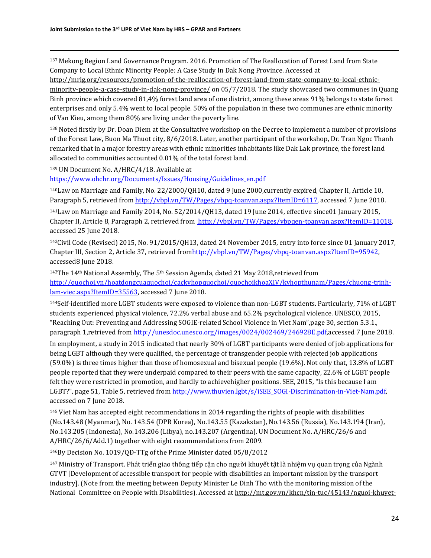<sup>137</sup> Mekong Region Land Governance Program. 2016. Promotion of The Reallocation of Forest Land from State Company to Local Ethnic Minority People: A Case Study In Dak Nong Province. Accessed at

[http://mrlg.org/resources/promotion-of-the-reallocation-of-forest-land-from-state-company-to-local-ethnic](http://mrlg.org/resources/promotion-of-the-reallocation-of-forest-land-from-state-company-to-local-ethnic-minority-people-a-case-study-in-dak-nong-province/)[minority-people-a-case-study-in-dak-nong-province/](http://mrlg.org/resources/promotion-of-the-reallocation-of-forest-land-from-state-company-to-local-ethnic-minority-people-a-case-study-in-dak-nong-province/) on 05/7/2018. The study showcased two communes in Quang Binh province which covered 81,4% forest land area of one district, among these areas 91% belongs to state forest enterprises and only 5.4% went to local people. 50% of the population in these two communes are ethnic minority of Van Kieu, among them 80% are living under the poverty line.

<sup>138</sup> Noted firstly by Dr. Doan Diem at the Consultative workshop on the Decree to implement a number of provisions of the Forest Law, Buon Ma Thuot city, 8/6/2018. Later, another participant of the workshop, Dr. Tran Ngoc Thanh remarked that in a major forestry areas with ethnic minorities inhabitants like Dak Lak province, the forest land allocated to communities accounted 0.01% of the total forest land.

<sup>139</sup> UN Document No. A/HRC/4/18. Available at

 $\overline{\phantom{a}}$ 

[https://www.ohchr.org/Documents/Issues/Housing/Guidelines\\_en.pdf](https://www.ohchr.org/Documents/Issues/Housing/Guidelines_en.pdf)

<sup>140</sup>Law on Marriage and Family, No. 22/2000/QH10, dated 9 June 2000,currently expired, Chapter II, Article 10, Paragraph 5, retrieved fro[m http://vbpl.vn/TW/Pages/vbpq-toanvan.aspx?ItemID=6117,](http://vbpl.vn/TW/Pages/vbpq-toanvan.aspx?ItemID=6117) accessed 7 June 2018.

<sup>141</sup>Law on Marriage and Family 2014, No. 52/2014/QH13, dated 19 June 2014, effective since01 January 2015, Chapter II, Article 8, Paragraph 2, retrieved from http://vbpl.vn/TW/Pages/vbpqen-toanvan.aspx?ItemID=11018, accessed 25 June 2018.

<sup>142</sup>Civil Code (Revised) 2015, No. 91/2015/QH13, dated 24 November 2015, entry into force since 01 January 2017, Chapter III, Section 2, Article 37, retrieved fro[mhttp://vbpl.vn/TW/Pages/vbpq-toanvan.aspx?ItemID=95942,](http://vbpl.vn/TW/Pages/vbpq-toanvan.aspx?ItemID=95942)  accessed8 June 2018.

<sup>143</sup>The 14<sup>th</sup> National Assembly, The 5<sup>th</sup> Session Agenda, dated 21 May 2018, retrieved from [http://quochoi.vn/hoatdongcuaquochoi/cackyhopquochoi/quochoikhoaXIV/kyhopthunam/Pages/chuong-trinh](http://quochoi.vn/hoatdongcuaquochoi/cackyhopquochoi/quochoikhoaXIV/kyhopthunam/Pages/chuong-trinh-lam-viec.aspx?ItemID=35563)[lam-viec.aspx?ItemID=35563,](http://quochoi.vn/hoatdongcuaquochoi/cackyhopquochoi/quochoikhoaXIV/kyhopthunam/Pages/chuong-trinh-lam-viec.aspx?ItemID=35563) accessed 7 June 2018.

<sup>144</sup>Self-identified more LGBT students were exposed to violence than non-LGBT students. Particularly, 71% of LGBT students experienced physical violence, 72.2% verbal abuse and 65.2% psychological violence. UNESCO, 2015, "Reaching Out: Preventing and Addressing SOGIE-related School Violence in Viet Nam",page 30, section 5.3.1., paragraph 1, retrieved from http://unesdoc.unesco.org/images/0024/002469/246928E.pdf, accessed 7 June 2018.

In employment, a study in 2015 indicated that nearly 30% of LGBT participants were denied of job applications for being LGBT although they were qualified, the percentage of transgender people with rejected job applications (59.0%) is three times higher than those of homosexual and bisexual people (19.6%). Not only that, 13.8% of LGBT people reported that they were underpaid compared to their peers with the same capacity, 22.6% of LGBT people felt they were restricted in promotion, and hardly to achievehigher positions. SEE, 2015, "Is this because I am LGBT?", page 51, Table 5, retrieved from http://www.thuvien.lgbt/s/iSEE\_SOGI-Discrimination-in-Viet-Nam.pdf, accessed on 7 June 2018.

<sup>145</sup> Viet Nam has accepted eight recommendations in 2014 regarding the rights of people with disabilities (No.143.48 (Myanmar), No. 143.54 (DPR Korea), No.143.55 (Kazakstan), No.143.56 (Russia), No.143.194 (Iran), No.143.205 (Indonesia), No.143.206 (Libya), no.143.207 (Argentina). UN Document No. A/HRC/26/6 and A/HRC/26/6/Add.1) together with eight recommendations from 2009.

<sup>146</sup>By Decision No. 1019/QĐ-TTg of the Prime Minister dated 05/8/2012

<sup>147</sup> Ministry of Transport. Phát triển giao thông tiếp cận cho người khuyết tật là nhiệm vụ quan trọng của Ngành GTVT [Development of accessible transport for people with disabilities an important mission by the transport industry]. (Note from the meeting between Deputy Minister Le Dinh Tho with the monitoring mission of the National Committee on People with Disabilities). Accessed at [http://mt.gov.vn/khcn/tin-tuc/45143/nguoi-khuyet-](http://mt.gov.vn/khcn/tin-tuc/45143/nguoi-khuyet-tat-la-doi-tuong-phuc-vu-dac-biet-va-viec-phat-trien-gtvt-cho-nguoi-khuyet-tat-la-mot-trong-nhung-nhiem-vu-quan-trong-cua-nganh-gtvt.aspx)